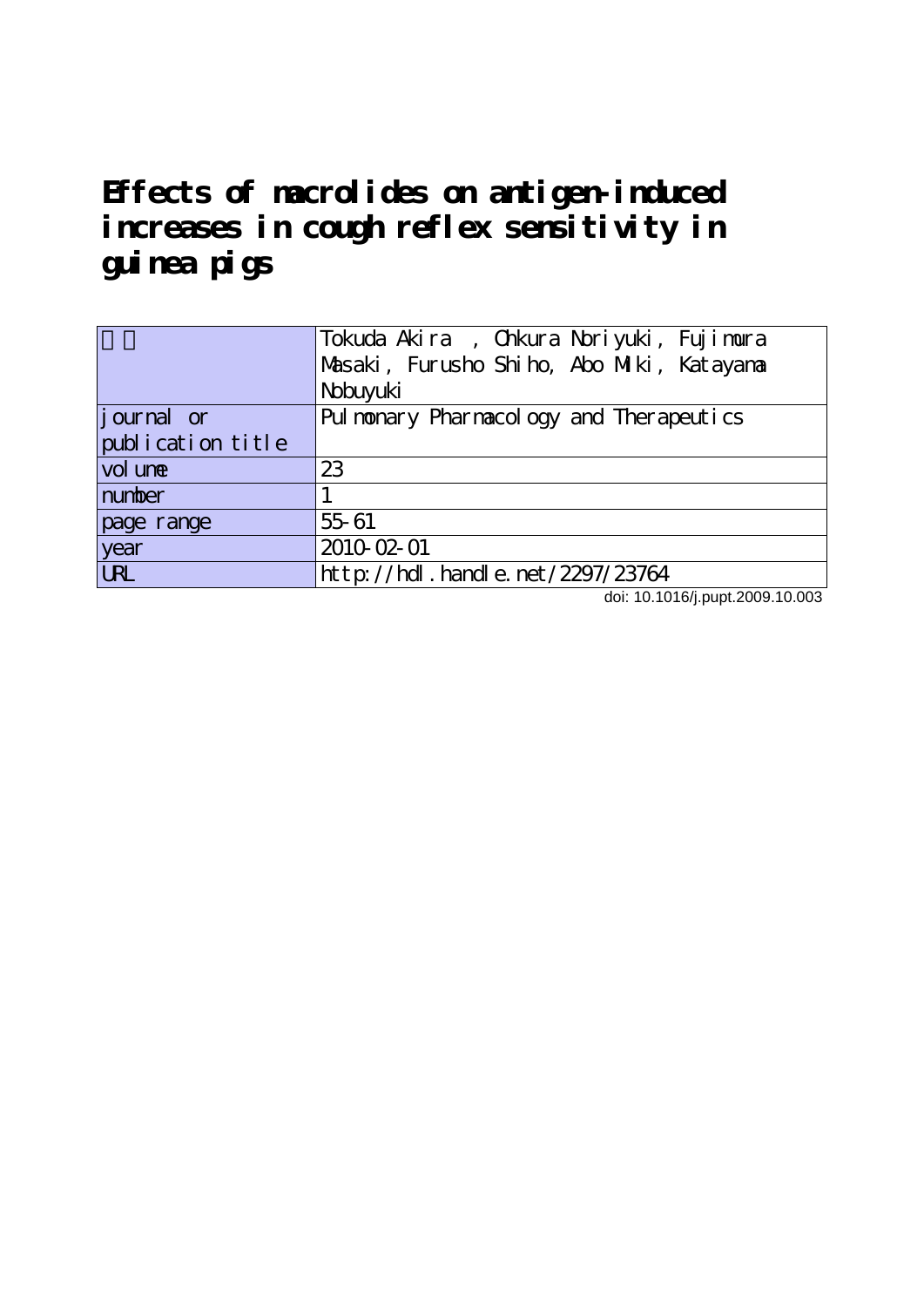**Effects of macrolides on antigen-induced increases in cough reflex sensitivity in guinea pigs**

|                   | Tokuda Akira, Chkura Noriyuki, Fujimura   |  |  |  |  |
|-------------------|-------------------------------------------|--|--|--|--|
|                   | Masaki, Furusho Shiho, Abo Miki, Katayana |  |  |  |  |
|                   | Nobuyuki                                  |  |  |  |  |
| journal or        | Pul nonary Pharmacology and Therapeutics  |  |  |  |  |
| publication title |                                           |  |  |  |  |
| vol une           | 23                                        |  |  |  |  |
| number            |                                           |  |  |  |  |
| page range        | 55 61                                     |  |  |  |  |
| year              | 2010-02-01                                |  |  |  |  |
| <b>URL</b>        | http://hdl.handle.net/2297/23764          |  |  |  |  |

doi: 10.1016/j.pupt.2009.10.003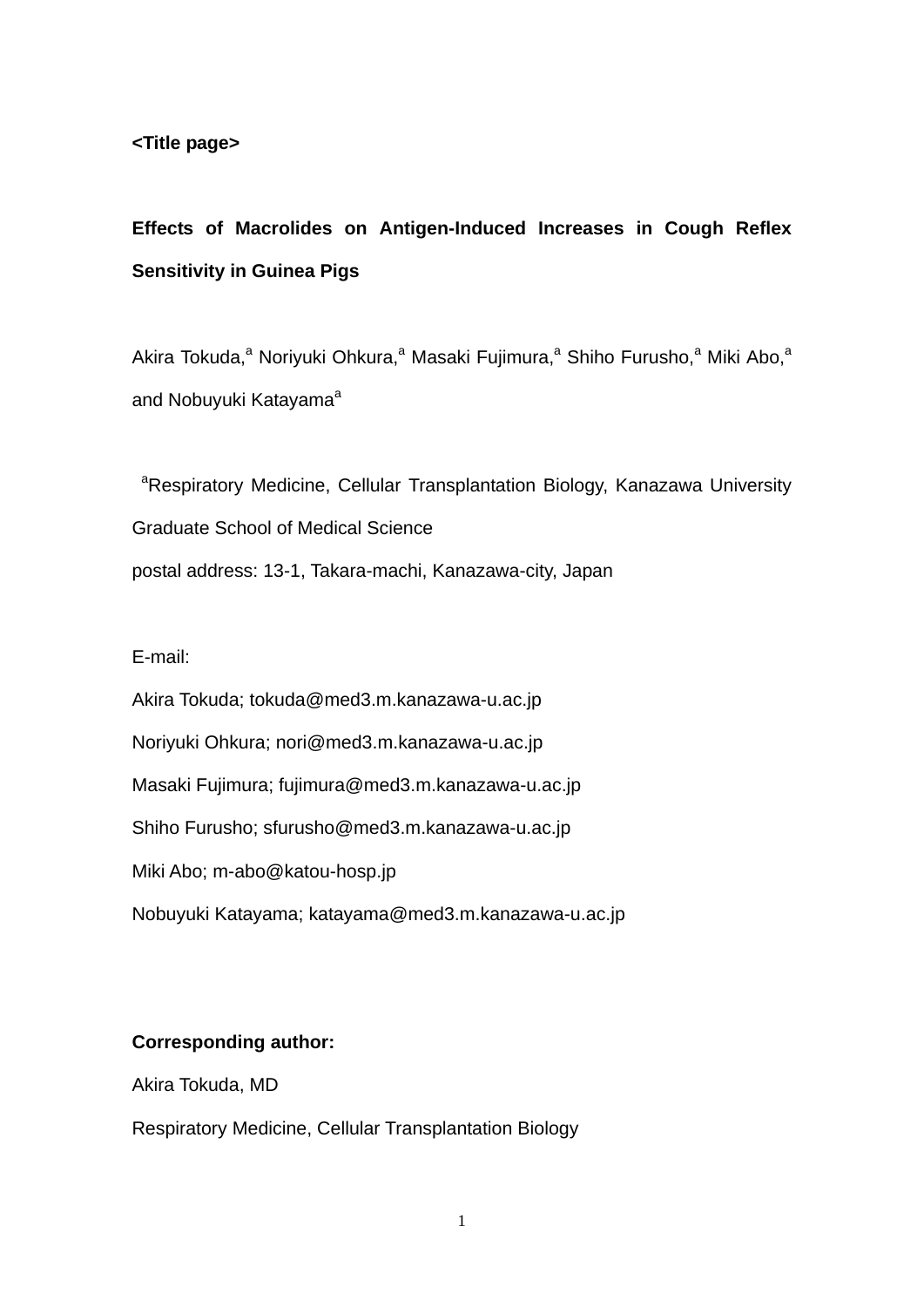# **Effects of Macrolides on Antigen-Induced Increases in Cough Reflex Sensitivity in Guinea Pigs**

Akira Tokuda,<sup>a</sup> Noriyuki Ohkura,<sup>a</sup> Masaki Fujimura,<sup>a</sup> Shiho Furusho,<sup>a</sup> Miki Abo,<sup>a</sup> and Nobuyuki Katayama<sup>a</sup>

<sup>a</sup>Respiratory Medicine, Cellular Transplantation Biology, Kanazawa University Graduate School of Medical Science postal address: 13-1, Takara-machi, Kanazawa-city, Japan

E-mail:

Akira Tokuda; tokuda@med3.m.kanazawa-u.ac.jp Noriyuki Ohkura; nori@med3.m.kanazawa-u.ac.jp Masaki Fujimura; fujimura@med3.m.kanazawa-u.ac.jp Shiho Furusho; sfurusho@med3.m.kanazawa-u.ac.jp Miki Abo; m-abo@katou-hosp.jp Nobuyuki Katayama; katayama@med3.m.kanazawa-u.ac.jp

## **Corresponding author:**

Akira Tokuda, MD

Respiratory Medicine, Cellular Transplantation Biology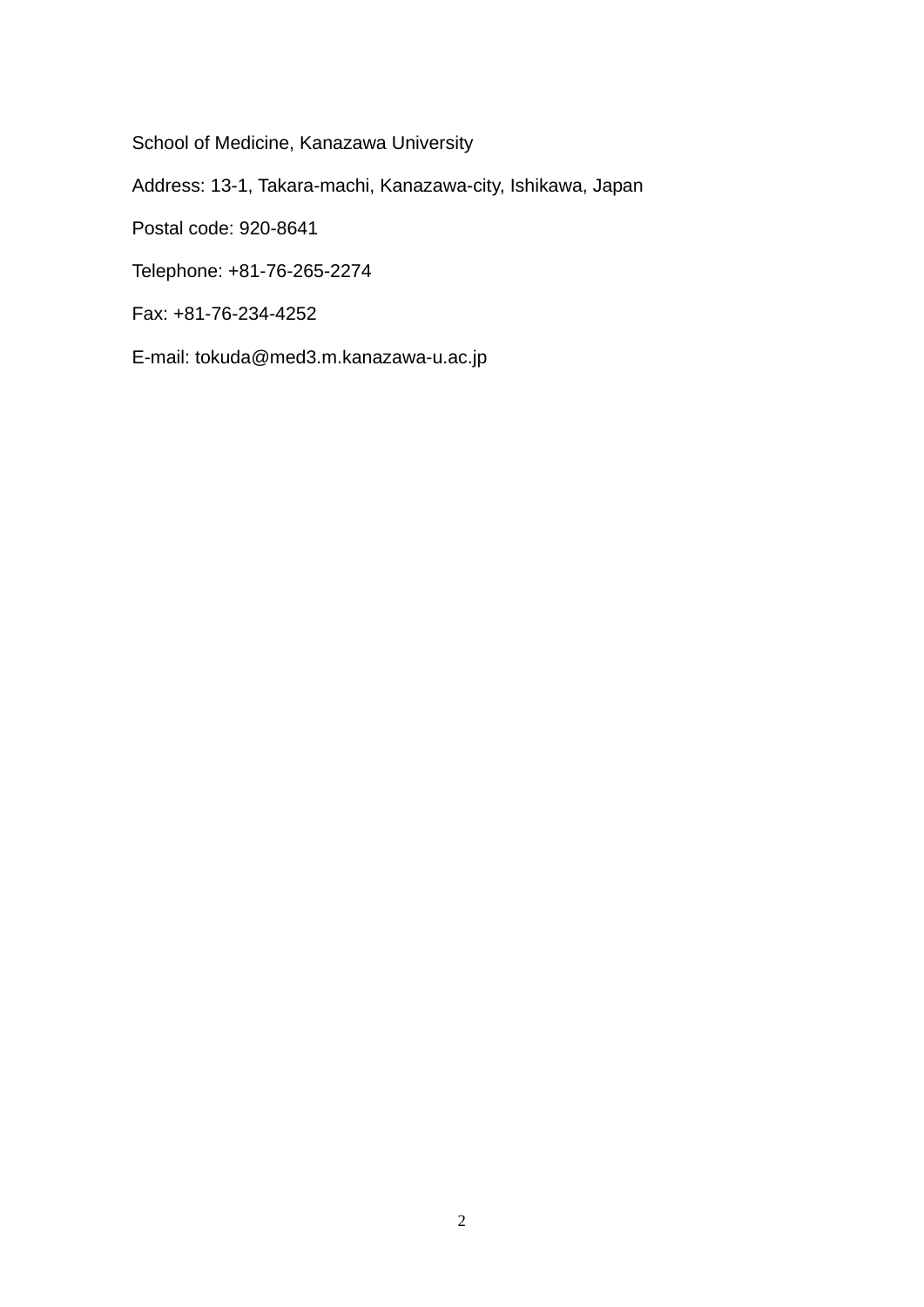School of Medicine, Kanazawa University

Address: 13-1, Takara-machi, Kanazawa-city, Ishikawa, Japan

Postal code: 920-8641

Telephone: +81-76-265-2274

Fax: +81-76-234-4252

E-mail: tokuda@med3.m.kanazawa-u.ac.jp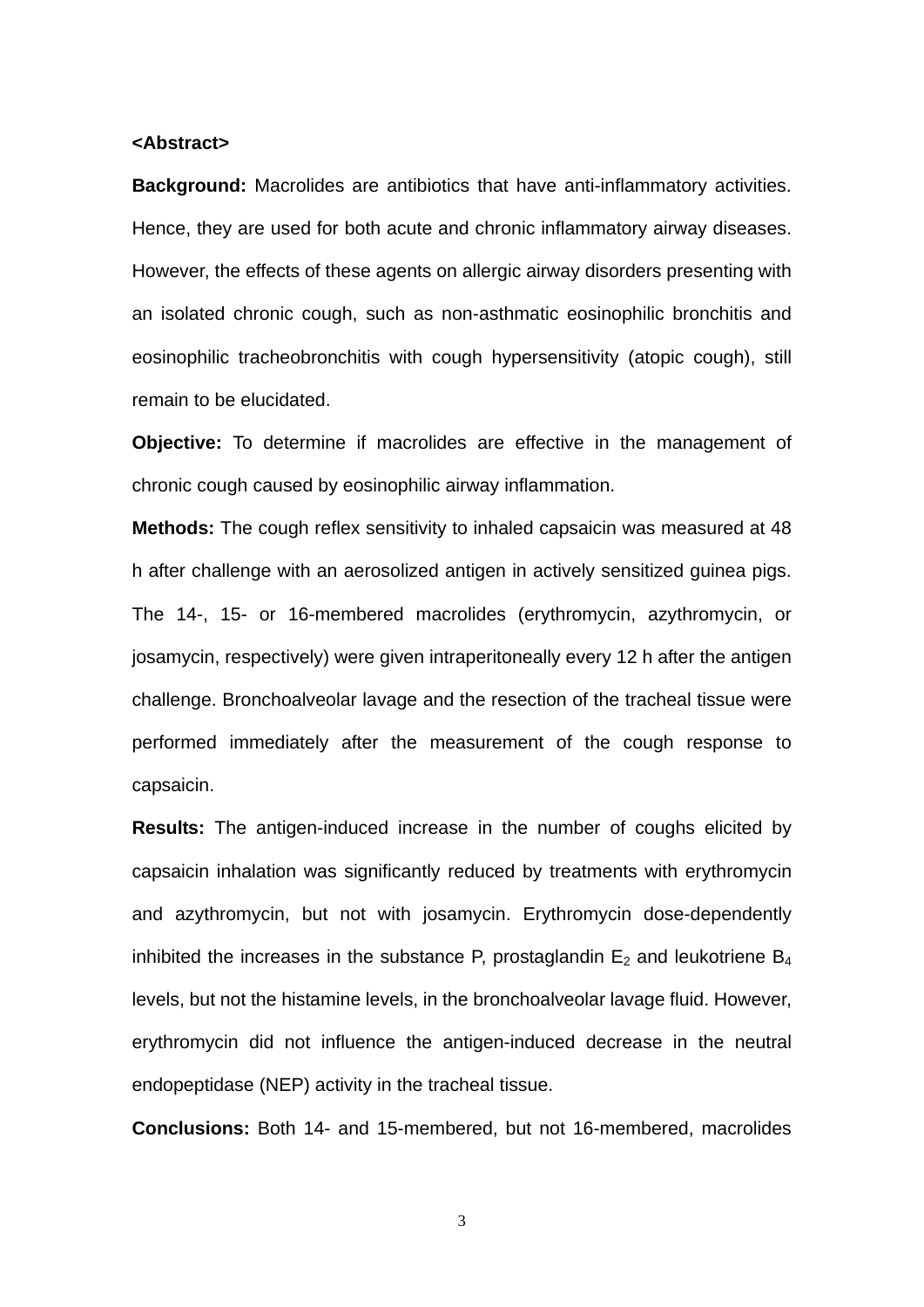#### **<Abstract>**

**Background:** Macrolides are antibiotics that have anti-inflammatory activities. Hence, they are used for both acute and chronic inflammatory airway diseases. However, the effects of these agents on allergic airway disorders presenting with an isolated chronic cough, such as non-asthmatic eosinophilic bronchitis and eosinophilic tracheobronchitis with cough hypersensitivity (atopic cough), still remain to be elucidated.

**Objective:** To determine if macrolides are effective in the management of chronic cough caused by eosinophilic airway inflammation.

**Methods:** The cough reflex sensitivity to inhaled capsaicin was measured at 48 h after challenge with an aerosolized antigen in actively sensitized guinea pigs. The 14-, 15- or 16-membered macrolides (erythromycin, azythromycin, or josamycin, respectively) were given intraperitoneally every 12 h after the antigen challenge. Bronchoalveolar lavage and the resection of the tracheal tissue were performed immediately after the measurement of the cough response to capsaicin.

**Results:** The antigen-induced increase in the number of coughs elicited by capsaicin inhalation was significantly reduced by treatments with erythromycin and azythromycin, but not with josamycin. Erythromycin dose-dependently inhibited the increases in the substance P, prostaglandin  $E_2$  and leukotriene  $B_4$ levels, but not the histamine levels, in the bronchoalveolar lavage fluid. However, erythromycin did not influence the antigen-induced decrease in the neutral endopeptidase (NEP) activity in the tracheal tissue.

**Conclusions:** Both 14- and 15-membered, but not 16-membered, macrolides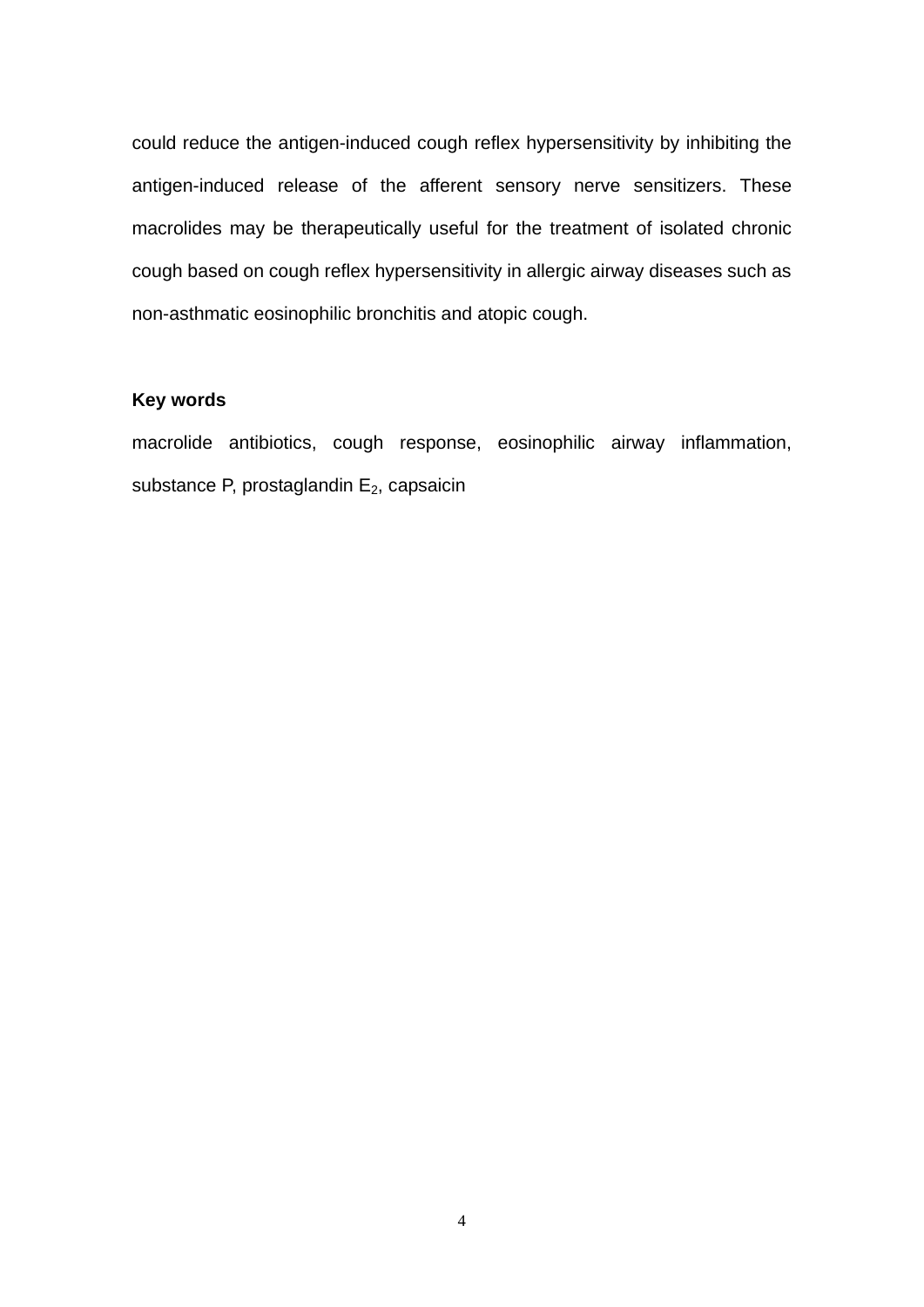could reduce the antigen-induced cough reflex hypersensitivity by inhibiting the antigen-induced release of the afferent sensory nerve sensitizers. These macrolides may be therapeutically useful for the treatment of isolated chronic cough based on cough reflex hypersensitivity in allergic airway diseases such as non-asthmatic eosinophilic bronchitis and atopic cough.

## **Key words**

macrolide antibiotics, cough response, eosinophilic airway inflammation, substance P, prostaglandin  $E_2$ , capsaicin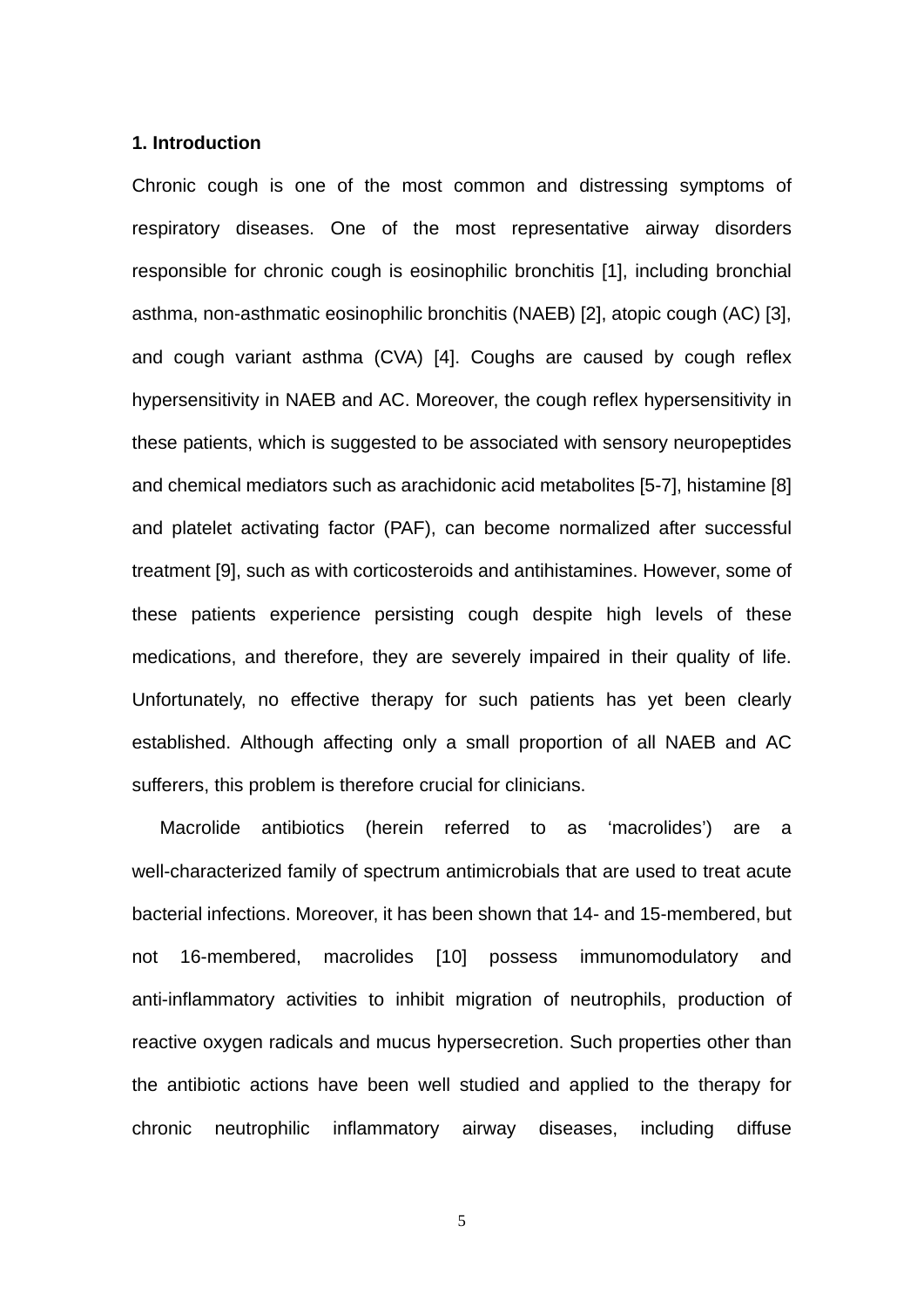#### **1. Introduction**

Chronic cough is one of the most common and distressing symptoms of respiratory diseases. One of the most representative airway disorders responsible for chronic cough is eosinophilic bronchitis [1], including bronchial asthma, non-asthmatic eosinophilic bronchitis (NAEB) [2], atopic cough (AC) [3], and cough variant asthma (CVA) [4]. Coughs are caused by cough reflex hypersensitivity in NAEB and AC. Moreover, the cough reflex hypersensitivity in these patients, which is suggested to be associated with sensory neuropeptides and chemical mediators such as arachidonic acid metabolites [5-7], histamine [8] and platelet activating factor (PAF), can become normalized after successful treatment [9], such as with corticosteroids and antihistamines. However, some of these patients experience persisting cough despite high levels of these medications, and therefore, they are severely impaired in their quality of life. Unfortunately, no effective therapy for such patients has yet been clearly established. Although affecting only a small proportion of all NAEB and AC sufferers, this problem is therefore crucial for clinicians.

Macrolide antibiotics (herein referred to as 'macrolides') are a well-characterized family of spectrum antimicrobials that are used to treat acute bacterial infections. Moreover, it has been shown that 14- and 15-membered, but not 16-membered, macrolides [10] possess immunomodulatory and anti-inflammatory activities to inhibit migration of neutrophils, production of reactive oxygen radicals and mucus hypersecretion. Such properties other than the antibiotic actions have been well studied and applied to the therapy for chronic neutrophilic inflammatory airway diseases, including diffuse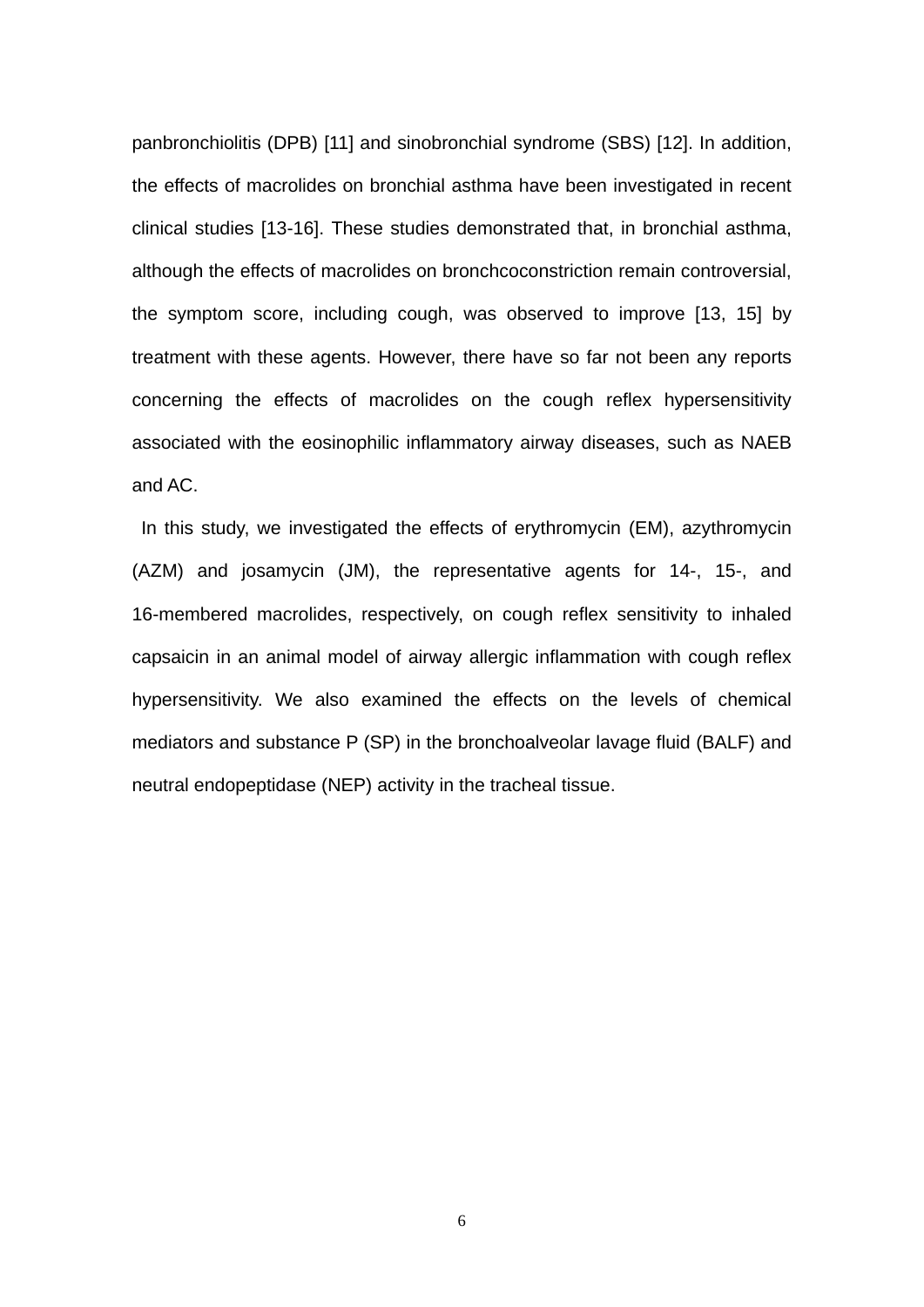panbronchiolitis (DPB) [11] and sinobronchial syndrome (SBS) [12]. In addition, the effects of macrolides on bronchial asthma have been investigated in recent clinical studies [13-16]. These studies demonstrated that, in bronchial asthma, although the effects of macrolides on bronchcoconstriction remain controversial, the symptom score, including cough, was observed to improve [13, 15] by treatment with these agents. However, there have so far not been any reports concerning the effects of macrolides on the cough reflex hypersensitivity associated with the eosinophilic inflammatory airway diseases, such as NAEB and AC.

In this study, we investigated the effects of erythromycin (EM), azythromycin (AZM) and josamycin (JM), the representative agents for 14-, 15-, and 16-membered macrolides, respectively, on cough reflex sensitivity to inhaled capsaicin in an animal model of airway allergic inflammation with cough reflex hypersensitivity. We also examined the effects on the levels of chemical mediators and substance P (SP) in the bronchoalveolar lavage fluid (BALF) and neutral endopeptidase (NEP) activity in the tracheal tissue.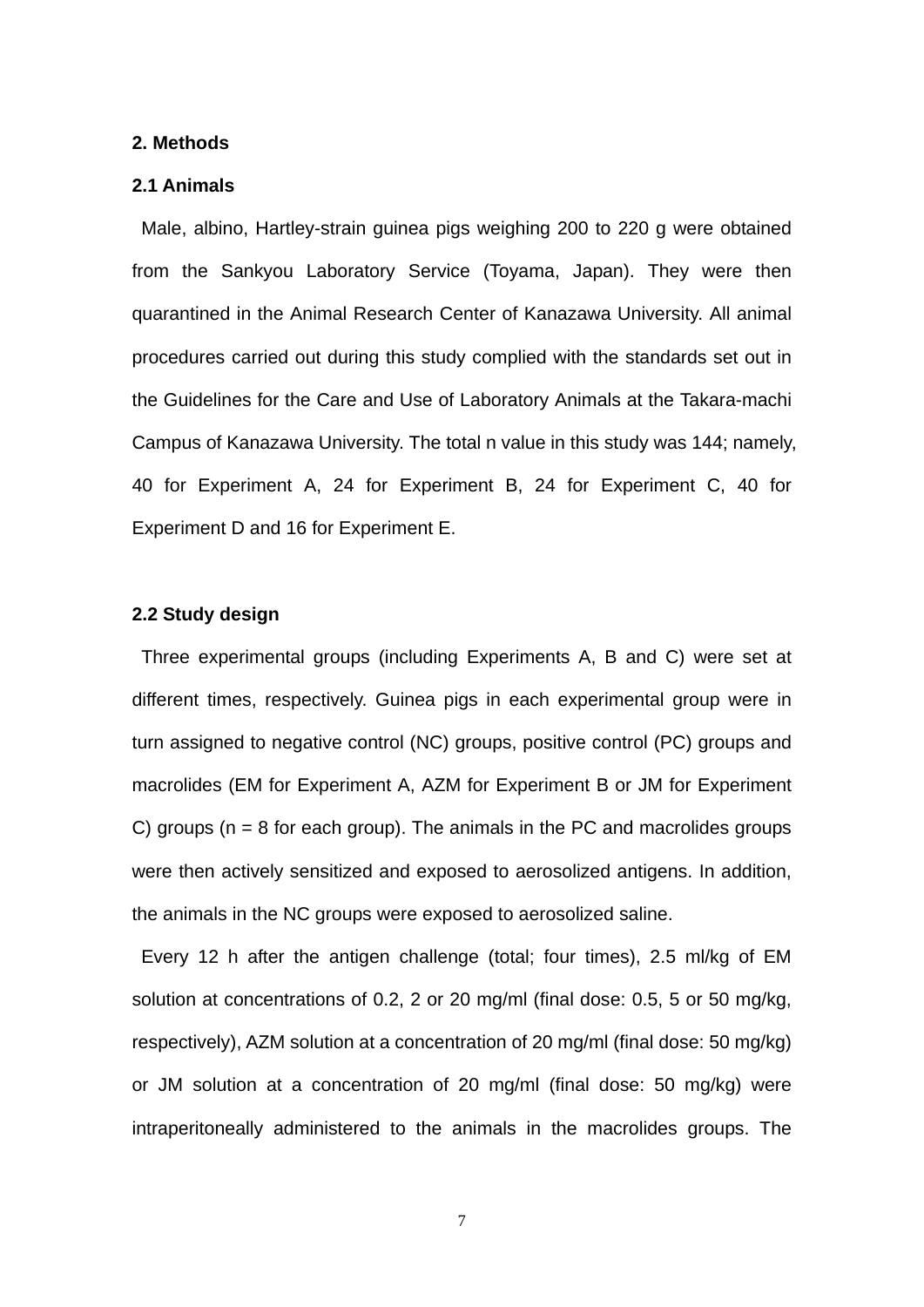#### **2. Methods**

#### **2.1 Animals**

 Male, albino, Hartley-strain guinea pigs weighing 200 to 220 g were obtained from the Sankyou Laboratory Service (Toyama, Japan). They were then quarantined in the Animal Research Center of Kanazawa University. All animal procedures carried out during this study complied with the standards set out in the Guidelines for the Care and Use of Laboratory Animals at the Takara-machi Campus of Kanazawa University. The total n value in this study was 144; namely, 40 for Experiment A, 24 for Experiment B, 24 for Experiment C, 40 for Experiment D and 16 for Experiment E.

#### **2.2 Study design**

Three experimental groups (including Experiments A, B and C) were set at different times, respectively. Guinea pigs in each experimental group were in turn assigned to negative control (NC) groups, positive control (PC) groups and macrolides (EM for Experiment A, AZM for Experiment B or JM for Experiment C) groups ( $n = 8$  for each group). The animals in the PC and macrolides groups were then actively sensitized and exposed to aerosolized antigens. In addition, the animals in the NC groups were exposed to aerosolized saline.

Every 12 h after the antigen challenge (total; four times), 2.5 ml/kg of EM solution at concentrations of 0.2, 2 or 20 mg/ml (final dose: 0.5, 5 or 50 mg/kg, respectively), AZM solution at a concentration of 20 mg/ml (final dose: 50 mg/kg) or JM solution at a concentration of 20 mg/ml (final dose: 50 mg/kg) were intraperitoneally administered to the animals in the macrolides groups. The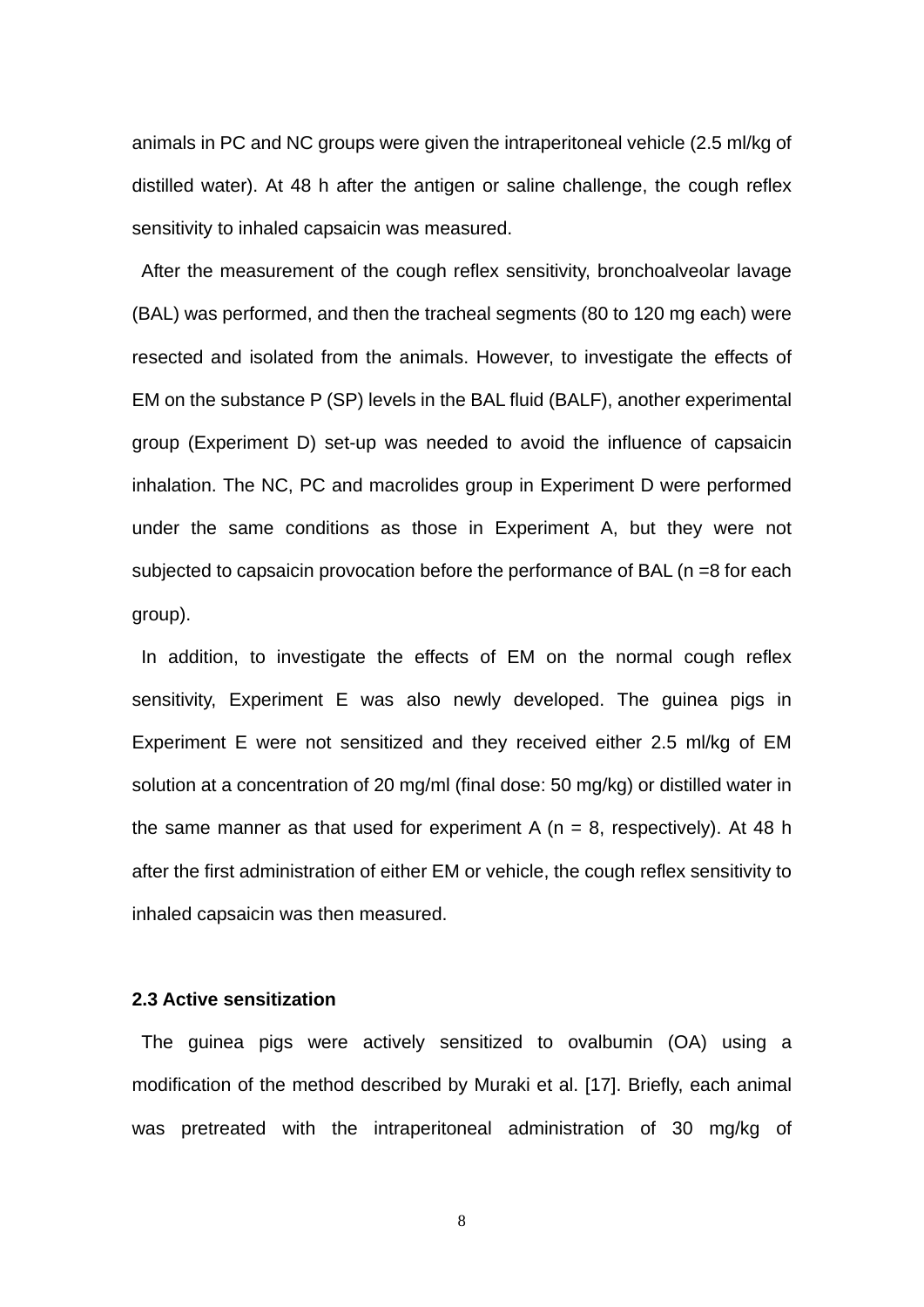animals in PC and NC groups were given the intraperitoneal vehicle (2.5 ml/kg of distilled water). At 48 h after the antigen or saline challenge, the cough reflex sensitivity to inhaled capsaicin was measured.

After the measurement of the cough reflex sensitivity, bronchoalveolar lavage (BAL) was performed, and then the tracheal segments (80 to 120 mg each) were resected and isolated from the animals. However, to investigate the effects of EM on the substance P (SP) levels in the BAL fluid (BALF), another experimental group (Experiment D) set-up was needed to avoid the influence of capsaicin inhalation. The NC, PC and macrolides group in Experiment D were performed under the same conditions as those in Experiment A, but they were not subjected to capsaicin provocation before the performance of BAL (n =8 for each group).

In addition, to investigate the effects of EM on the normal cough reflex sensitivity, Experiment E was also newly developed. The guinea pigs in Experiment E were not sensitized and they received either 2.5 ml/kg of EM solution at a concentration of 20 mg/ml (final dose: 50 mg/kg) or distilled water in the same manner as that used for experiment A ( $n = 8$ , respectively). At 48 h after the first administration of either EM or vehicle, the cough reflex sensitivity to inhaled capsaicin was then measured.

## **2.3 Active sensitization**

The guinea pigs were actively sensitized to ovalbumin (OA) using a modification of the method described by Muraki et al. [17]. Briefly, each animal was pretreated with the intraperitoneal administration of 30 mg/kg of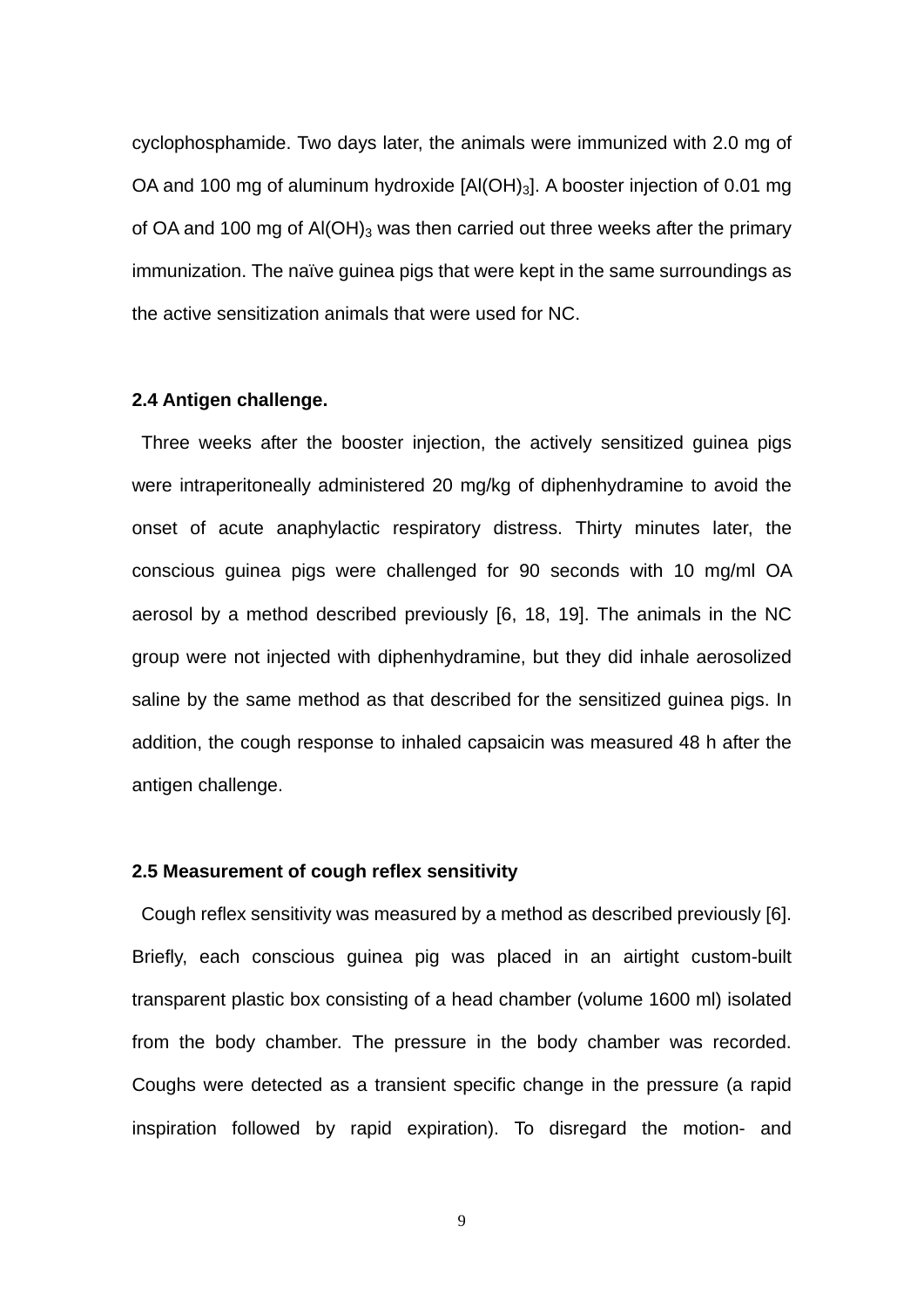cyclophosphamide. Two days later, the animals were immunized with 2.0 mg of OA and 100 mg of aluminum hydroxide [Al(OH)<sub>3</sub>]. A booster injection of 0.01 mg of OA and 100 mg of  $AI(OH)_3$  was then carried out three weeks after the primary immunization. The naïve guinea pigs that were kept in the same surroundings as the active sensitization animals that were used for NC.

## **2.4 Antigen challenge.**

Three weeks after the booster injection, the actively sensitized guinea pigs were intraperitoneally administered 20 mg/kg of diphenhydramine to avoid the onset of acute anaphylactic respiratory distress. Thirty minutes later, the conscious guinea pigs were challenged for 90 seconds with 10 mg/ml OA aerosol by a method described previously [6, 18, 19]. The animals in the NC group were not injected with diphenhydramine, but they did inhale aerosolized saline by the same method as that described for the sensitized guinea pigs. In addition, the cough response to inhaled capsaicin was measured 48 h after the antigen challenge.

#### **2.5 Measurement of cough reflex sensitivity**

Cough reflex sensitivity was measured by a method as described previously [6]. Briefly, each conscious guinea pig was placed in an airtight custom-built transparent plastic box consisting of a head chamber (volume 1600 ml) isolated from the body chamber. The pressure in the body chamber was recorded. Coughs were detected as a transient specific change in the pressure (a rapid inspiration followed by rapid expiration). To disregard the motion- and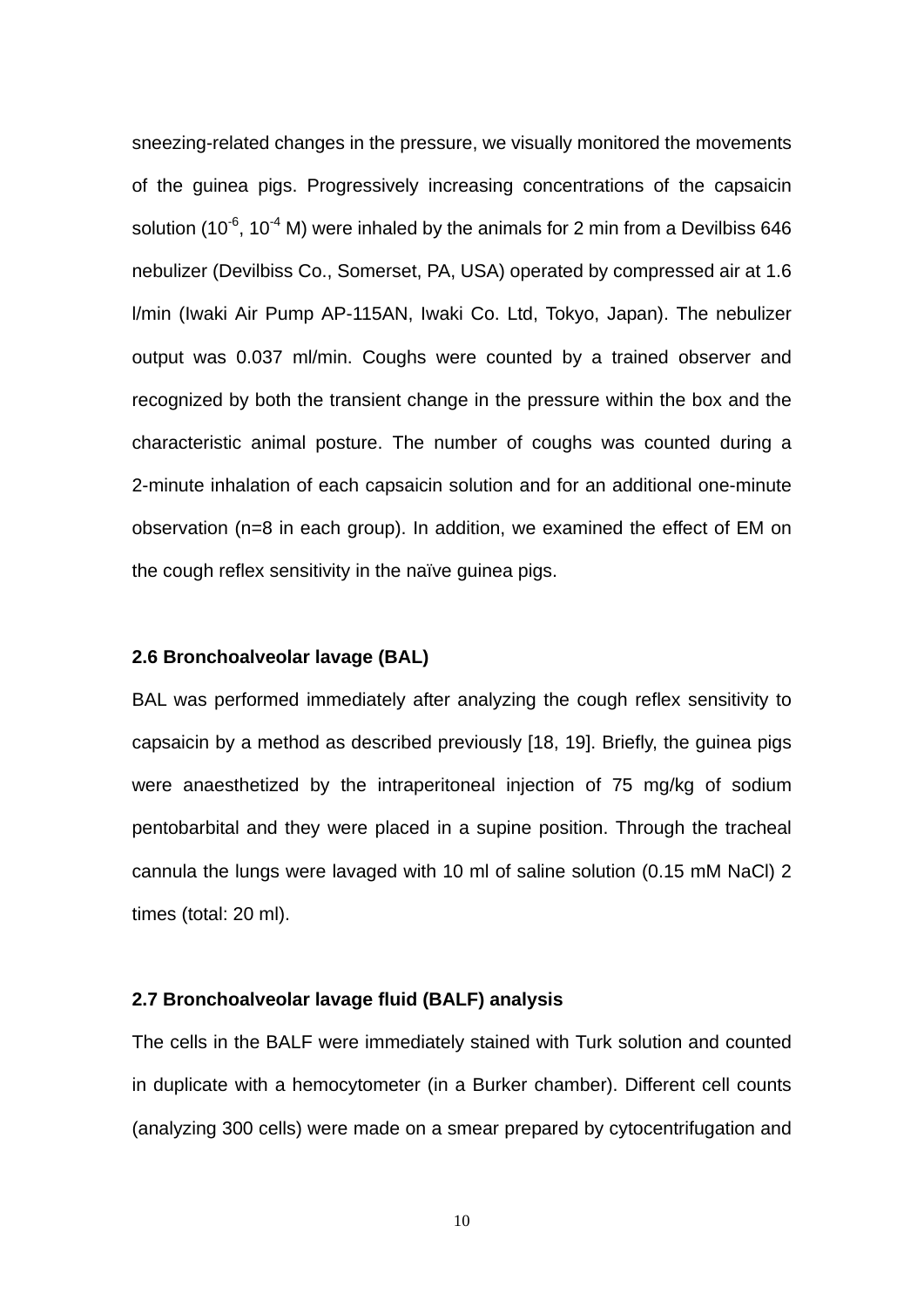sneezing-related changes in the pressure, we visually monitored the movements of the guinea pigs. Progressively increasing concentrations of the capsaicin solution (10 $^6$ , 10 $^4$  M) were inhaled by the animals for 2 min from a Devilbiss 646 nebulizer (Devilbiss Co., Somerset, PA, USA) operated by compressed air at 1.6 l/min (Iwaki Air Pump AP-115AN, Iwaki Co. Ltd, Tokyo, Japan). The nebulizer output was 0.037 ml/min. Coughs were counted by a trained observer and recognized by both the transient change in the pressure within the box and the characteristic animal posture. The number of coughs was counted during a 2-minute inhalation of each capsaicin solution and for an additional one-minute observation (n=8 in each group). In addition, we examined the effect of EM on the cough reflex sensitivity in the naïve guinea pigs.

### **2.6 Bronchoalveolar lavage (BAL)**

BAL was performed immediately after analyzing the cough reflex sensitivity to capsaicin by a method as described previously [18, 19]. Briefly, the guinea pigs were anaesthetized by the intraperitoneal injection of 75 mg/kg of sodium pentobarbital and they were placed in a supine position. Through the tracheal cannula the lungs were lavaged with 10 ml of saline solution (0.15 mM NaCl) 2 times (total: 20 ml).

## **2.7 Bronchoalveolar lavage fluid (BALF) analysis**

The cells in the BALF were immediately stained with Turk solution and counted in duplicate with a hemocytometer (in a Burker chamber). Different cell counts (analyzing 300 cells) were made on a smear prepared by cytocentrifugation and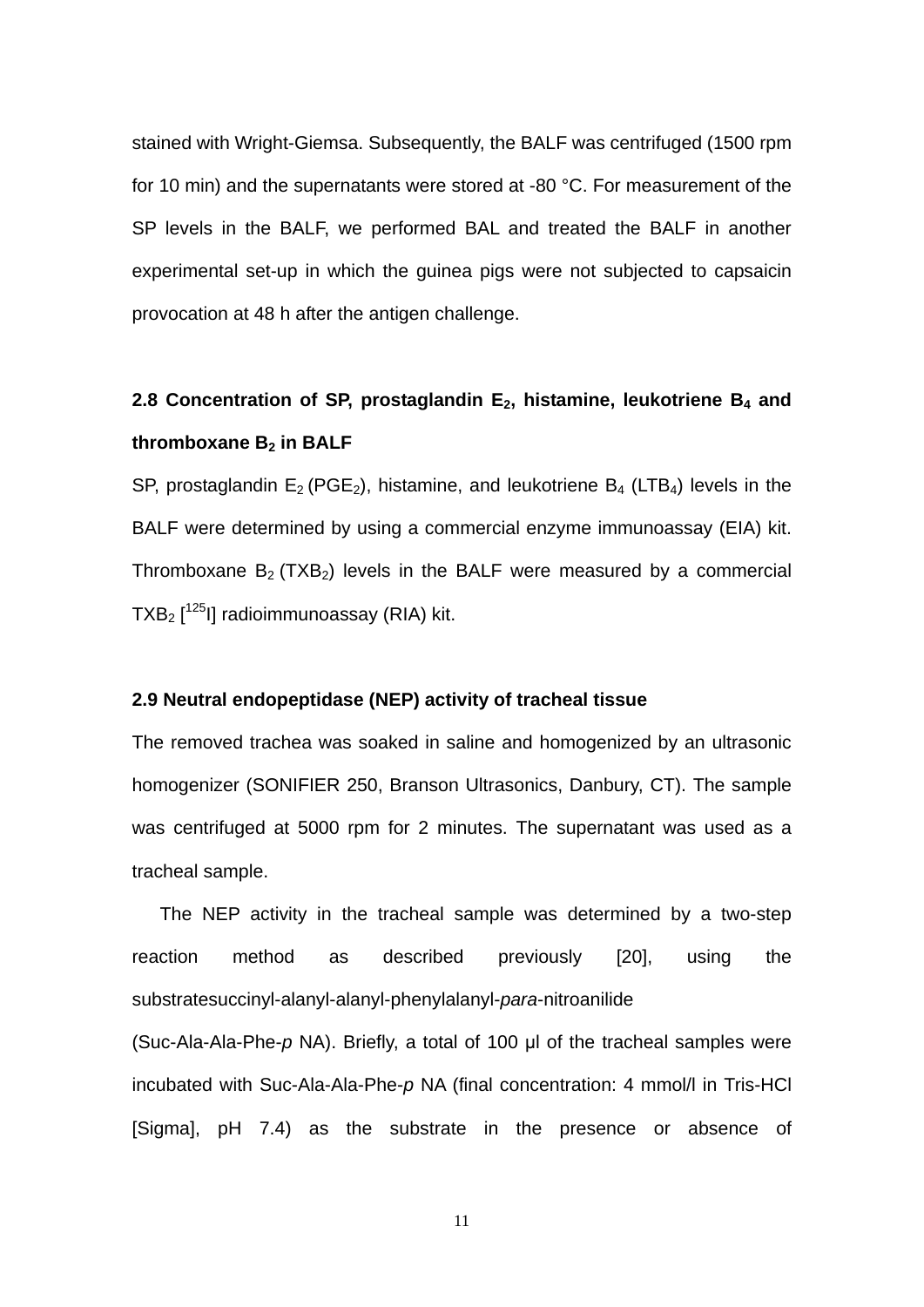stained with Wright-Giemsa. Subsequently, the BALF was centrifuged (1500 rpm for 10 min) and the supernatants were stored at -80 °C. For measurement of the SP levels in the BALF, we performed BAL and treated the BALF in another experimental set-up in which the guinea pigs were not subjected to capsaicin provocation at 48 h after the antigen challenge.

## 2.8 Concentration of SP, prostaglandin E<sub>2</sub>, histamine, leukotriene B<sub>4</sub> and thromboxane B<sub>2</sub> in BALF

SP, prostaglandin  $E_2$  (PGE<sub>2</sub>), histamine, and leukotriene  $B_4$  (LTB<sub>4</sub>) levels in the BALF were determined by using a commercial enzyme immunoassay (EIA) kit. Thromboxane  $B_2$  (TXB<sub>2</sub>) levels in the BALF were measured by a commercial TXB<sub>2</sub>  $[1^{25}]$ ] radioimmunoassay (RIA) kit.

### **2.9 Neutral endopeptidase (NEP) activity of tracheal tissue**

The removed trachea was soaked in saline and homogenized by an ultrasonic homogenizer (SONIFIER 250, Branson Ultrasonics, Danbury, CT). The sample was centrifuged at 5000 rpm for 2 minutes. The supernatant was used as a tracheal sample.

The NEP activity in the tracheal sample was determined by a two-step reaction method as described previously [20], using the substratesuccinyl-alanyl-alanyl-phenylalanyl-*para*-nitroanilide

(Suc-Ala-Ala-Phe-*p* NA). Briefly, a total of 100 μl of the tracheal samples were incubated with Suc-Ala-Ala-Phe-*p* NA (final concentration: 4 mmol/l in Tris-HCl [Sigma], pH 7.4) as the substrate in the presence or absence of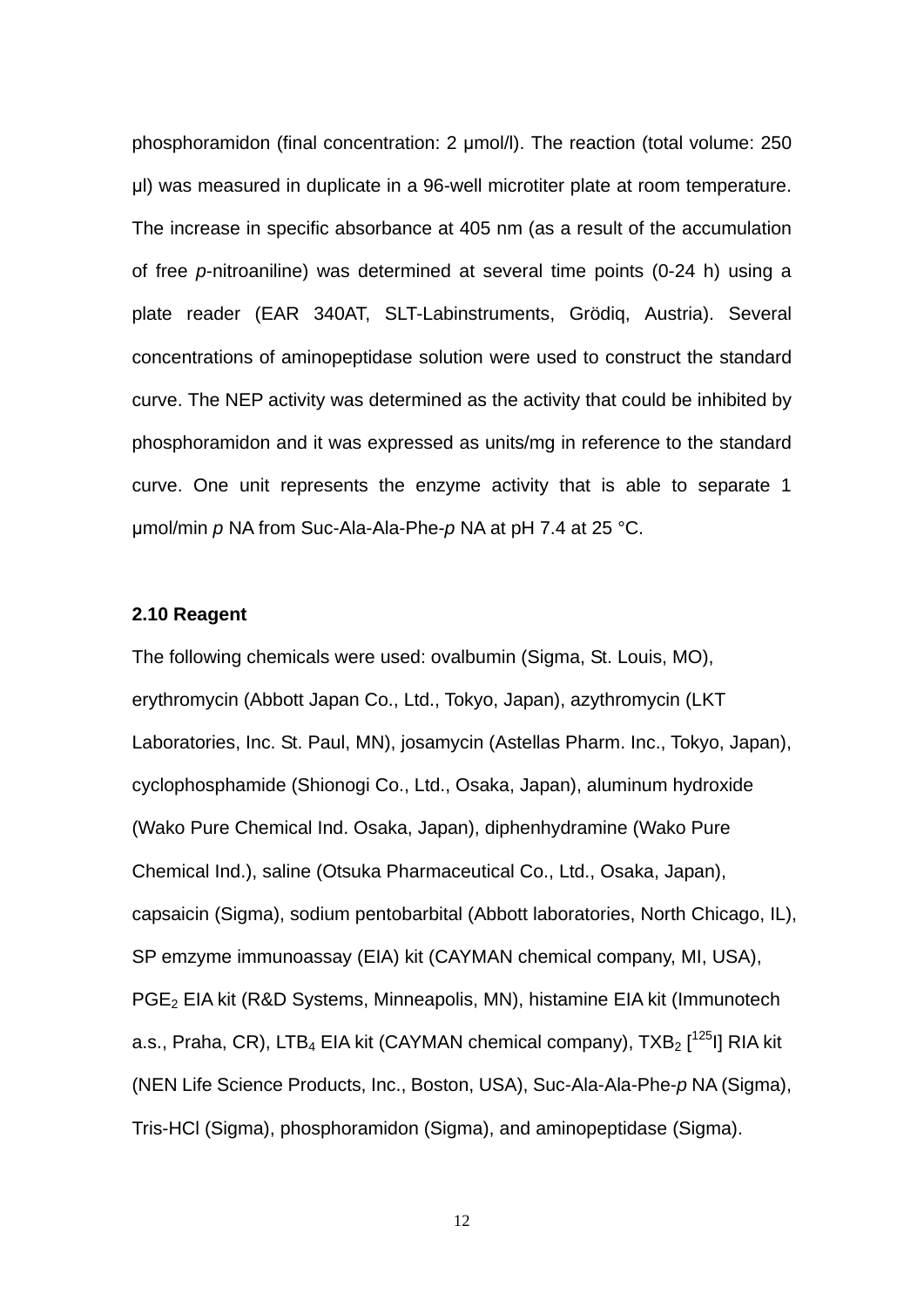phosphoramidon (final concentration: 2 μmol/l). The reaction (total volume: 250 μl) was measured in duplicate in a 96-well microtiter plate at room temperature. The increase in specific absorbance at 405 nm (as a result of the accumulation of free *p*-nitroaniline) was determined at several time points (0-24 h) using a plate reader (EAR 340AT, SLT-Labinstruments, Grödiq, Austria). Several concentrations of aminopeptidase solution were used to construct the standard curve. The NEP activity was determined as the activity that could be inhibited by phosphoramidon and it was expressed as units/mg in reference to the standard curve. One unit represents the enzyme activity that is able to separate 1 μmol/min *p* NA from Suc-Ala-Ala-Phe-*p* NA at pH 7.4 at 25 °C.

#### **2.10 Reagent**

The following chemicals were used: ovalbumin (Sigma, St. Louis, MO), erythromycin (Abbott Japan Co., Ltd., Tokyo, Japan), azythromycin (LKT Laboratories, Inc. St. Paul, MN), josamycin (Astellas Pharm. Inc., Tokyo, Japan), cyclophosphamide (Shionogi Co., Ltd., Osaka, Japan), aluminum hydroxide (Wako Pure Chemical Ind. Osaka, Japan), diphenhydramine (Wako Pure Chemical Ind.), saline (Otsuka Pharmaceutical Co., Ltd., Osaka, Japan), capsaicin (Sigma), sodium pentobarbital (Abbott laboratories, North Chicago, IL), SP emzyme immunoassay (EIA) kit (CAYMAN chemical company, MI, USA), PGE<sub>2</sub> EIA kit (R&D Systems, Minneapolis, MN), histamine EIA kit (Immunotech a.s., Praha, CR), LTB<sub>4</sub> EIA kit (CAYMAN chemical company), TXB<sub>2</sub> [<sup>125</sup>I] RIA kit (NEN Life Science Products, Inc., Boston, USA), Suc-Ala-Ala-Phe-*p* NA (Sigma), Tris-HCl (Sigma), phosphoramidon (Sigma), and aminopeptidase (Sigma).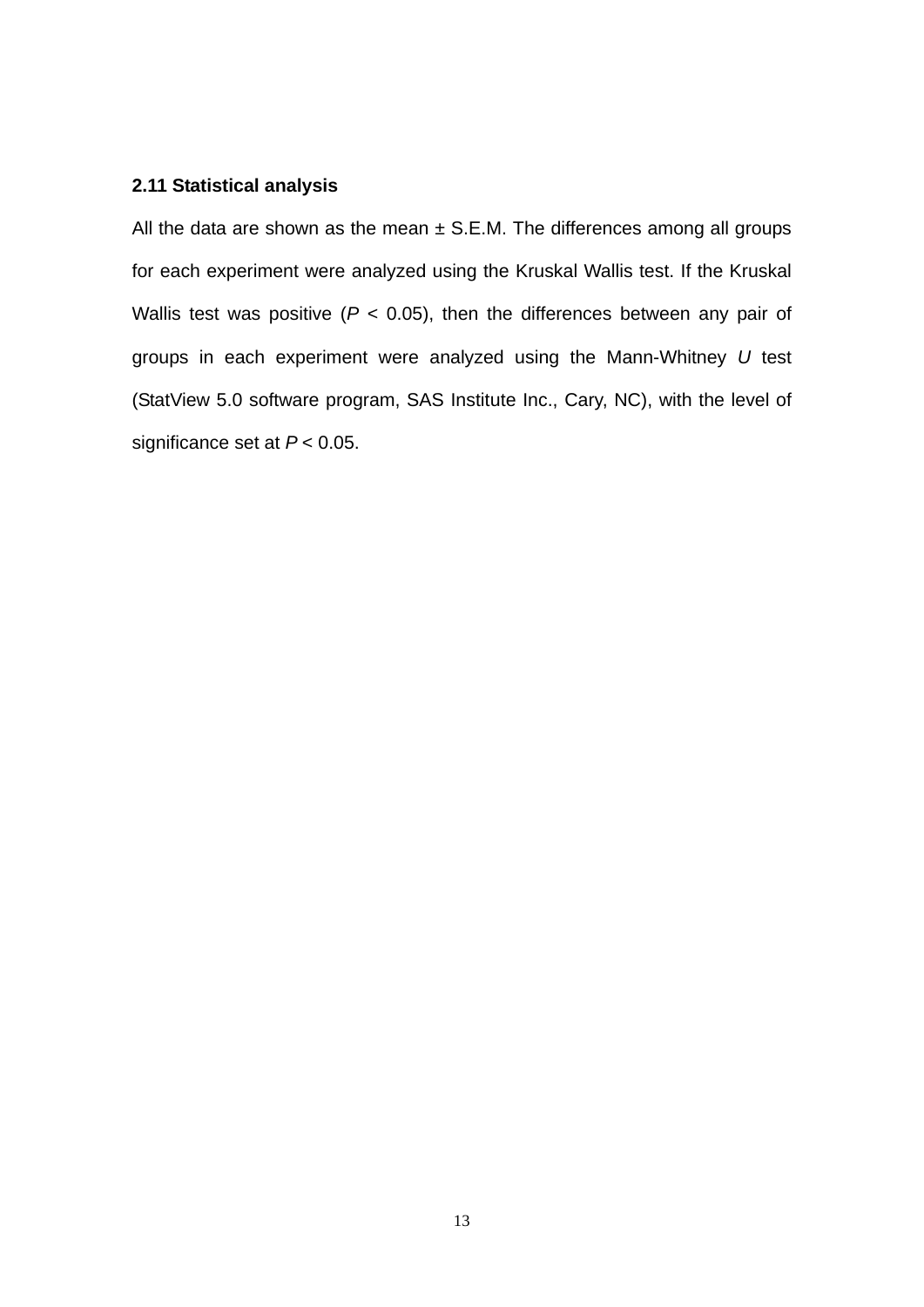## **2.11 Statistical analysis**

All the data are shown as the mean  $\pm$  S.E.M. The differences among all groups for each experiment were analyzed using the Kruskal Wallis test. If the Kruskal Wallis test was positive ( $P < 0.05$ ), then the differences between any pair of groups in each experiment were analyzed using the Mann-Whitney *U* test (StatView 5.0 software program, SAS Institute Inc., Cary, NC), with the level of significance set at *P* < 0.05.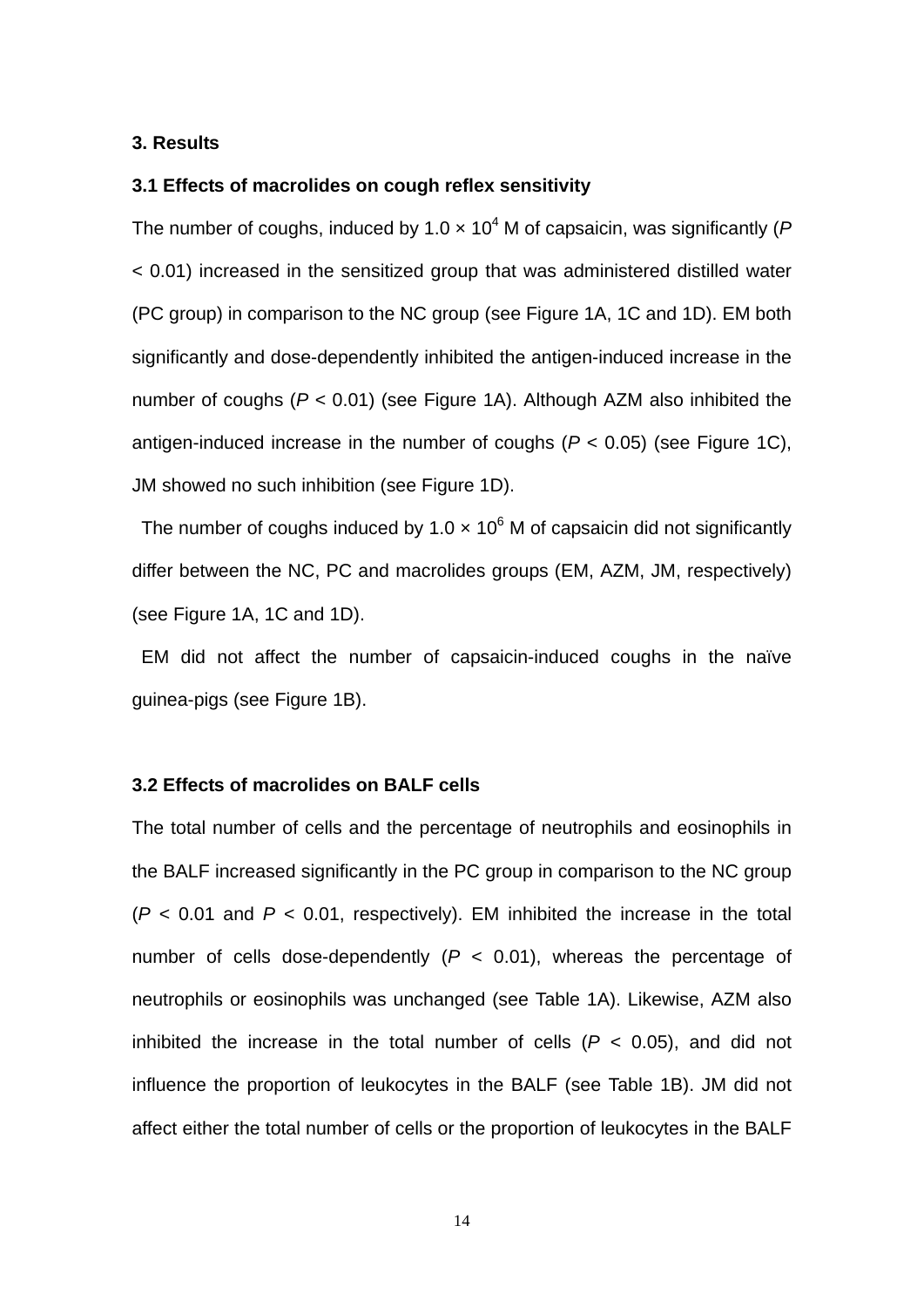#### **3. Results**

## **3.1 Effects of macrolides on cough reflex sensitivity**

The number of coughs, induced by 1.0  $\times$  10<sup>4</sup> M of capsaicin, was significantly (*F* < 0.01) increased in the sensitized group that was administered distilled water (PC group) in comparison to the NC group (see Figure 1A, 1C and 1D). EM both significantly and dose-dependently inhibited the antigen-induced increase in the number of coughs (*P* < 0.01) (see Figure 1A). Although AZM also inhibited the antigen-induced increase in the number of coughs  $(P < 0.05)$  (see Figure 1C), JM showed no such inhibition (see Figure 1D).

The number of coughs induced by 1.0  $\times$  10<sup>6</sup> M of capsaicin did not significantly differ between the NC, PC and macrolides groups (EM, AZM, JM, respectively) (see Figure 1A, 1C and 1D).

EM did not affect the number of capsaicin-induced coughs in the naïve guinea-pigs (see Figure 1B).

#### **3.2 Effects of macrolides on BALF cells**

The total number of cells and the percentage of neutrophils and eosinophils in the BALF increased significantly in the PC group in comparison to the NC group  $(P < 0.01$  and  $P < 0.01$ , respectively). EM inhibited the increase in the total number of cells dose-dependently  $(P < 0.01)$ , whereas the percentage of neutrophils or eosinophils was unchanged (see Table 1A). Likewise, AZM also inhibited the increase in the total number of cells  $(P < 0.05)$ , and did not influence the proportion of leukocytes in the BALF (see Table 1B). JM did not affect either the total number of cells or the proportion of leukocytes in the BALF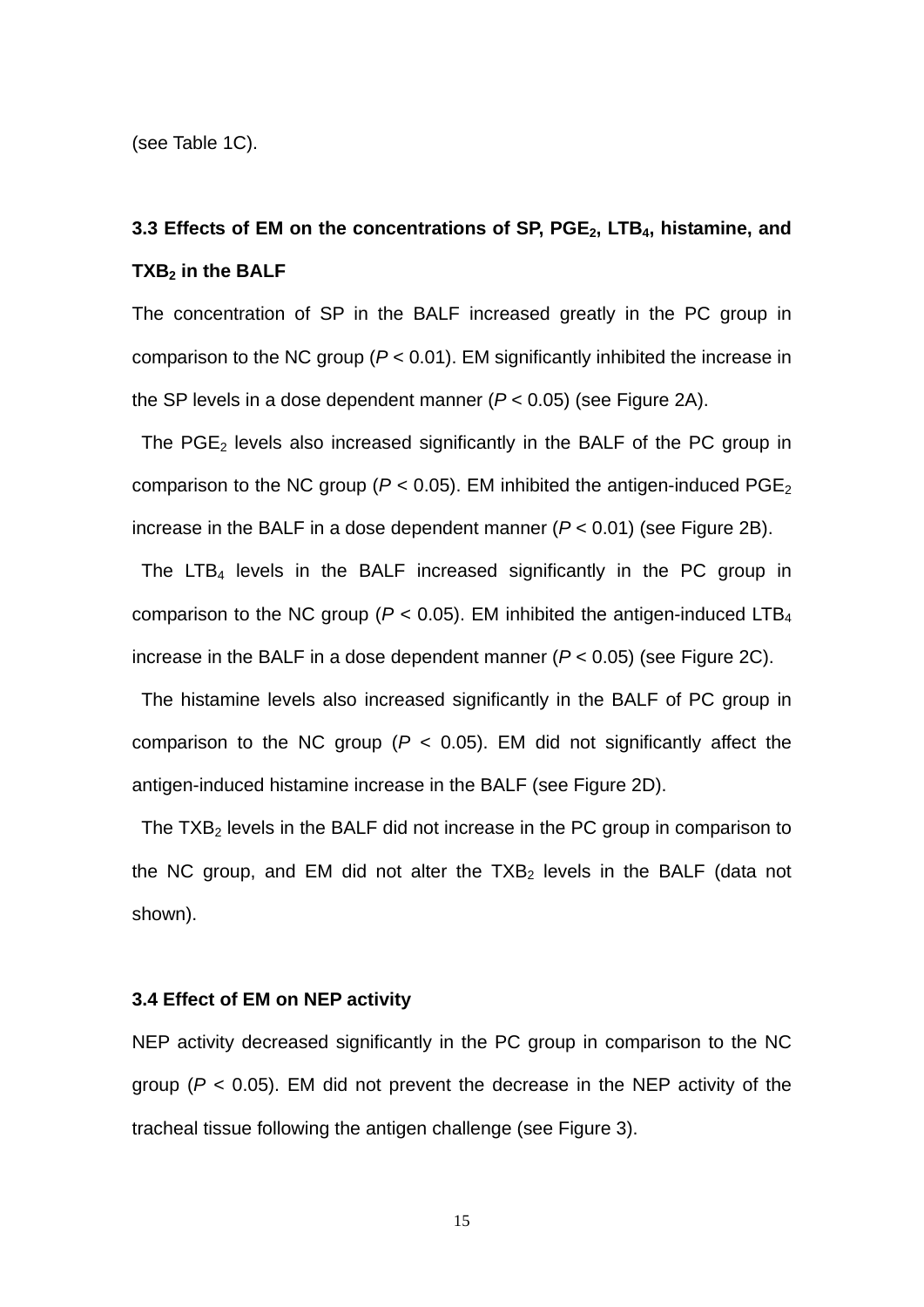(see Table 1C).

## 3.3 Effects of EM on the concentrations of SP, PGE<sub>2</sub>, LTB<sub>4</sub>, histamine, and **TXB<sub>2</sub>** in the BALF

The concentration of SP in the BALF increased greatly in the PC group in comparison to the NC group (*P* < 0.01). EM significantly inhibited the increase in the SP levels in a dose dependent manner (*P* < 0.05) (see Figure 2A).

The  $PGE<sub>2</sub>$  levels also increased significantly in the BALF of the PC group in comparison to the NC group ( $P < 0.05$ ). EM inhibited the antigen-induced PGE<sub>2</sub> increase in the BALF in a dose dependent manner (*P* < 0.01) (see Figure 2B).

The LTB<sub>4</sub> levels in the BALF increased significantly in the PC group in comparison to the NC group ( $P < 0.05$ ). EM inhibited the antigen-induced LTB<sub>4</sub> increase in the BALF in a dose dependent manner (*P* < 0.05) (see Figure 2C).

The histamine levels also increased significantly in the BALF of PC group in comparison to the NC group  $(P < 0.05)$ . EM did not significantly affect the antigen-induced histamine increase in the BALF (see Figure 2D).

The  $TXB<sub>2</sub>$  levels in the BALF did not increase in the PC group in comparison to the NC group, and EM did not alter the  $TXB<sub>2</sub>$  levels in the BALF (data not shown).

### **3.4 Effect of EM on NEP activity**

NEP activity decreased significantly in the PC group in comparison to the NC group ( $P < 0.05$ ). EM did not prevent the decrease in the NEP activity of the tracheal tissue following the antigen challenge (see Figure 3).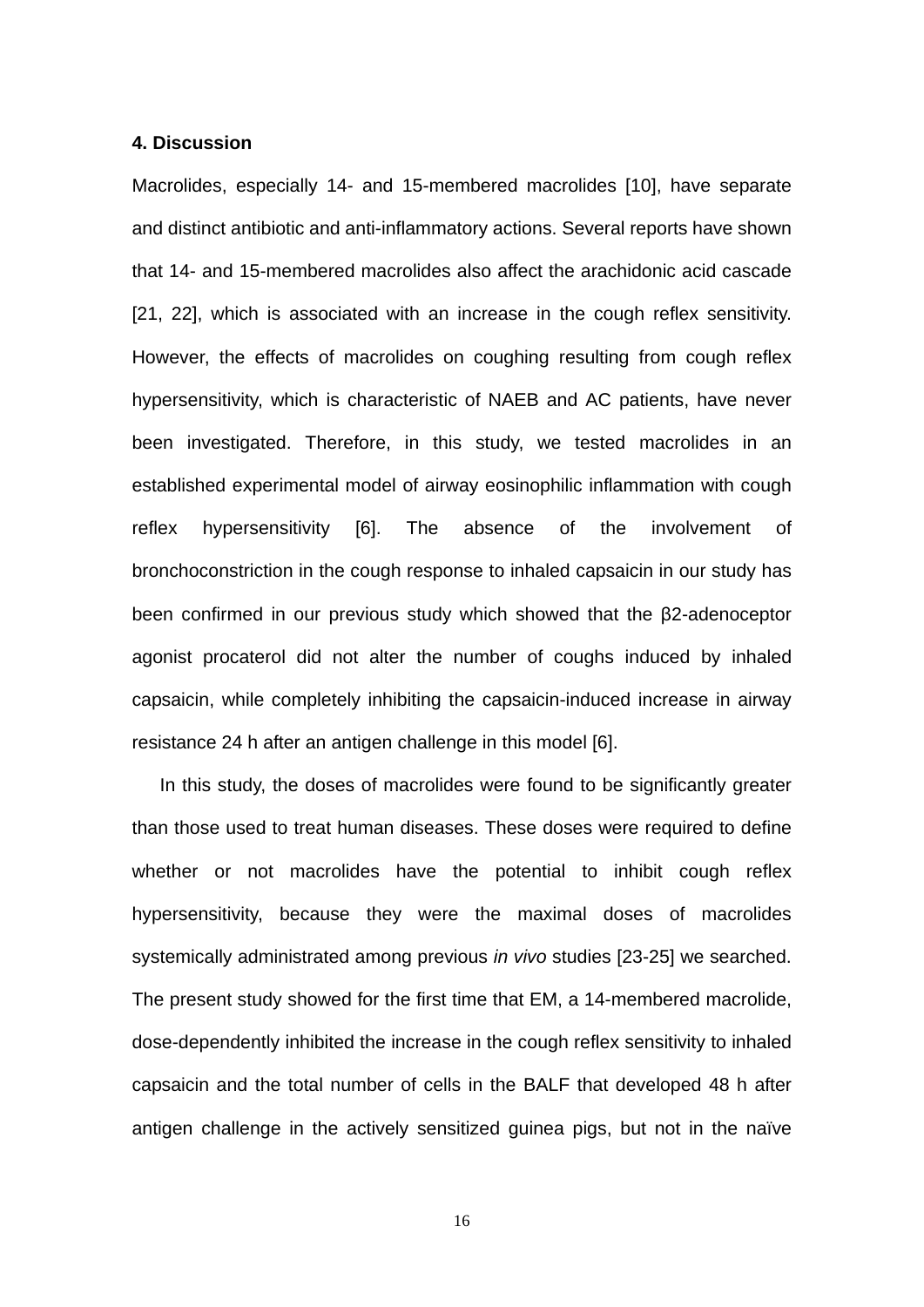#### **4. Discussion**

Macrolides, especially 14- and 15-membered macrolides [10], have separate and distinct antibiotic and anti-inflammatory actions. Several reports have shown that 14- and 15-membered macrolides also affect the arachidonic acid cascade [21, 22], which is associated with an increase in the cough reflex sensitivity. However, the effects of macrolides on coughing resulting from cough reflex hypersensitivity, which is characteristic of NAEB and AC patients, have never been investigated. Therefore, in this study, we tested macrolides in an established experimental model of airway eosinophilic inflammation with cough reflex hypersensitivity [6]. The absence of the involvement of bronchoconstriction in the cough response to inhaled capsaicin in our study has been confirmed in our previous study which showed that the β2-adenoceptor agonist procaterol did not alter the number of coughs induced by inhaled capsaicin, while completely inhibiting the capsaicin-induced increase in airway resistance 24 h after an antigen challenge in this model [6].

In this study, the doses of macrolides were found to be significantly greater than those used to treat human diseases. These doses were required to define whether or not macrolides have the potential to inhibit cough reflex hypersensitivity, because they were the maximal doses of macrolides systemically administrated among previous *in vivo* studies [23-25] we searched. The present study showed for the first time that EM, a 14-membered macrolide, dose-dependently inhibited the increase in the cough reflex sensitivity to inhaled capsaicin and the total number of cells in the BALF that developed 48 h after antigen challenge in the actively sensitized guinea pigs, but not in the naïve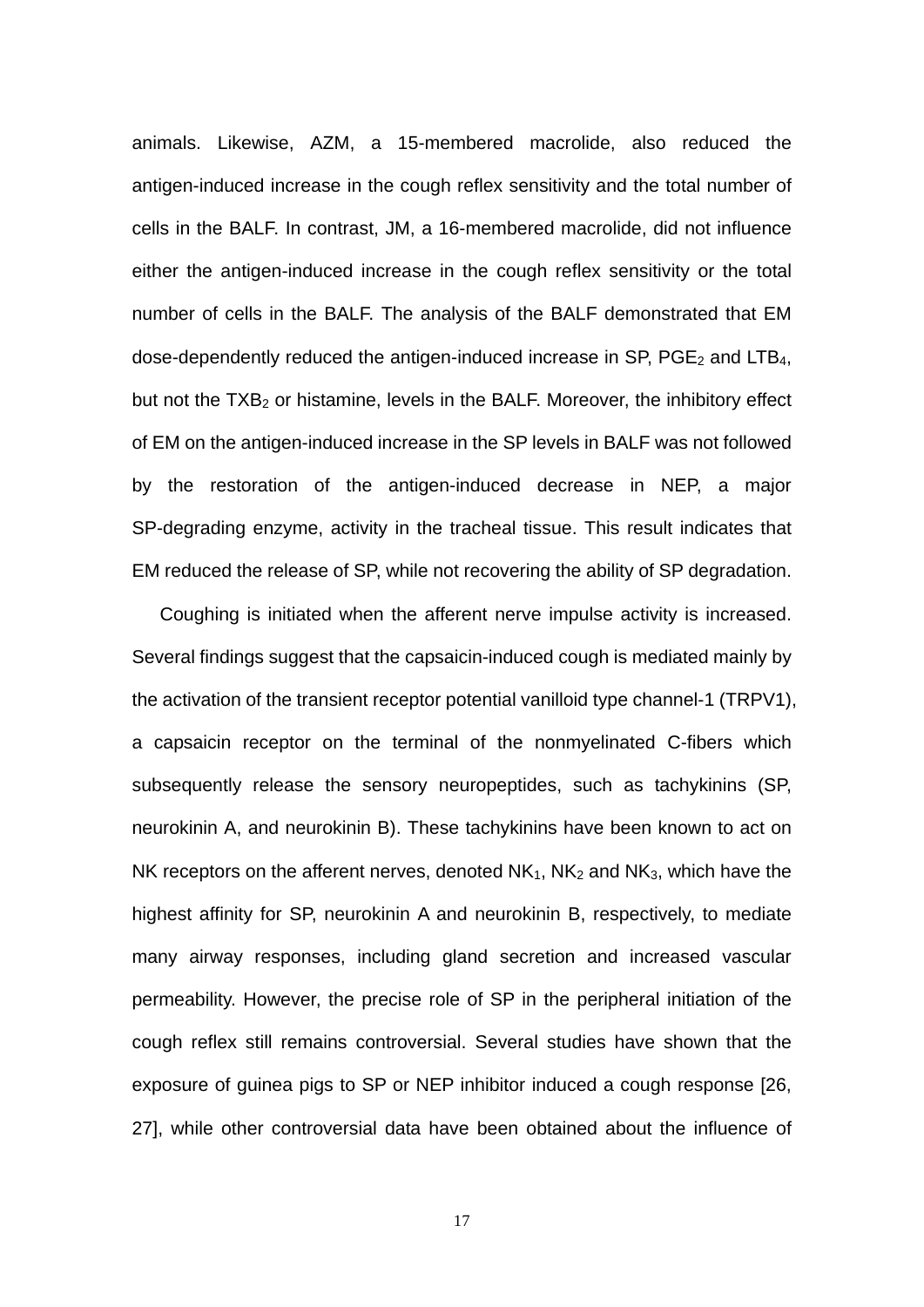animals. Likewise, AZM, a 15-membered macrolide, also reduced the antigen-induced increase in the cough reflex sensitivity and the total number of cells in the BALF. In contrast, JM, a 16-membered macrolide, did not influence either the antigen-induced increase in the cough reflex sensitivity or the total number of cells in the BALF. The analysis of the BALF demonstrated that EM dose-dependently reduced the antigen-induced increase in SP,  $PGE_2$  and LTB<sub>4</sub>, but not the  $TXB<sub>2</sub>$  or histamine, levels in the BALF. Moreover, the inhibitory effect of EM on the antigen-induced increase in the SP levels in BALF was not followed by the restoration of the antigen-induced decrease in NEP, a major SP-degrading enzyme, activity in the tracheal tissue. This result indicates that EM reduced the release of SP, while not recovering the ability of SP degradation.

Coughing is initiated when the afferent nerve impulse activity is increased. Several findings suggest that the capsaicin-induced cough is mediated mainly by the activation of the transient receptor potential vanilloid type channel-1 (TRPV1), a capsaicin receptor on the terminal of the nonmyelinated C-fibers which subsequently release the sensory neuropeptides, such as tachykinins (SP, neurokinin A, and neurokinin B). These tachykinins have been known to act on NK receptors on the afferent nerves, denoted  $NK_1$ ,  $NK_2$  and  $NK_3$ , which have the highest affinity for SP, neurokinin A and neurokinin B, respectively, to mediate many airway responses, including gland secretion and increased vascular permeability. However, the precise role of SP in the peripheral initiation of the cough reflex still remains controversial. Several studies have shown that the exposure of guinea pigs to SP or NEP inhibitor induced a cough response [26, 27], while other controversial data have been obtained about the influence of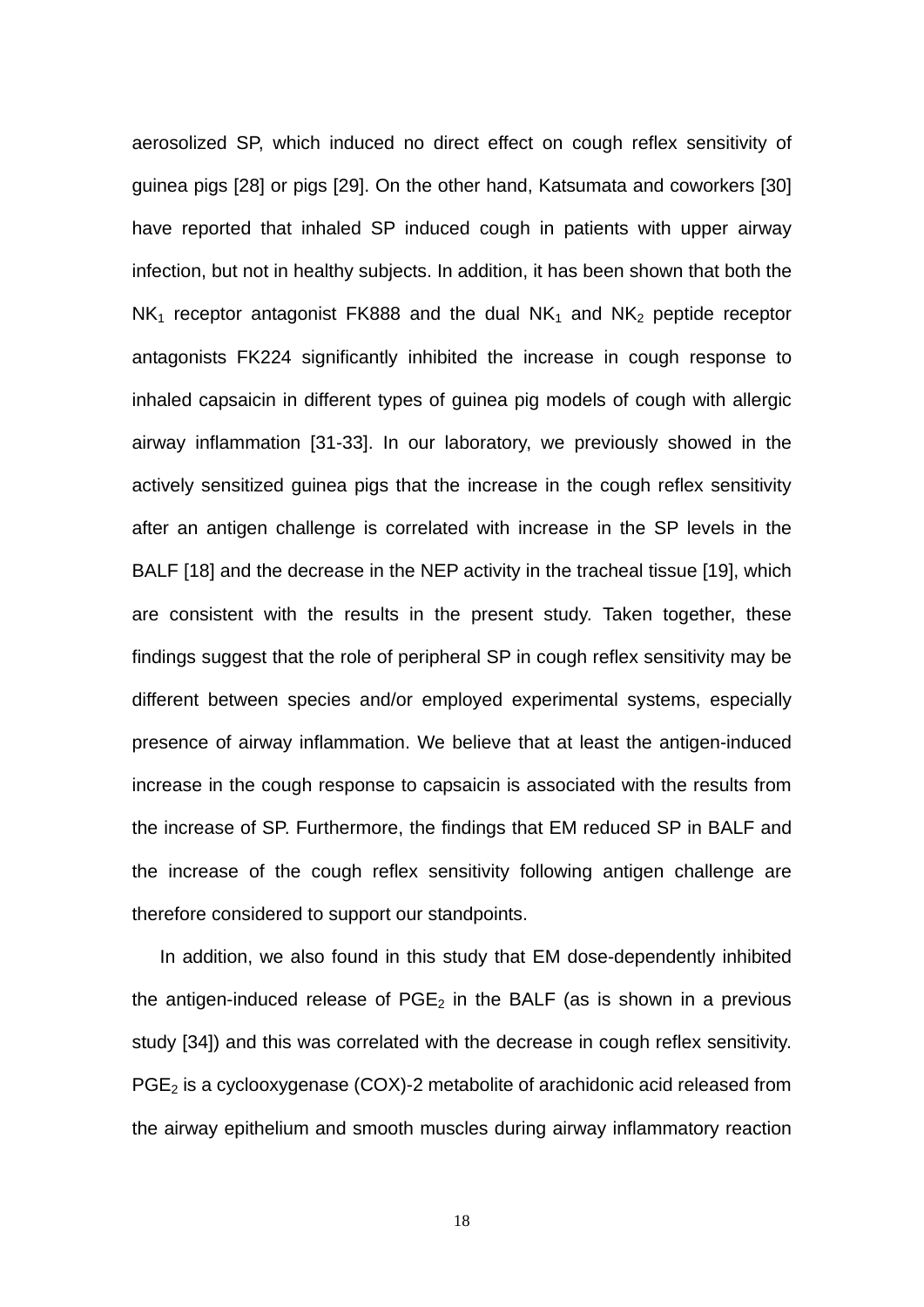aerosolized SP, which induced no direct effect on cough reflex sensitivity of guinea pigs [28] or pigs [29]. On the other hand, Katsumata and coworkers [30] have reported that inhaled SP induced cough in patients with upper airway infection, but not in healthy subjects. In addition, it has been shown that both the  $NK<sub>1</sub>$  receptor antagonist FK888 and the dual  $NK<sub>1</sub>$  and  $NK<sub>2</sub>$  peptide receptor antagonists FK224 significantly inhibited the increase in cough response to inhaled capsaicin in different types of guinea pig models of cough with allergic airway inflammation [31-33]. In our laboratory, we previously showed in the actively sensitized guinea pigs that the increase in the cough reflex sensitivity after an antigen challenge is correlated with increase in the SP levels in the BALF [18] and the decrease in the NEP activity in the tracheal tissue [19], which are consistent with the results in the present study. Taken together, these findings suggest that the role of peripheral SP in cough reflex sensitivity may be different between species and/or employed experimental systems, especially presence of airway inflammation. We believe that at least the antigen-induced increase in the cough response to capsaicin is associated with the results from the increase of SP. Furthermore, the findings that EM reduced SP in BALF and the increase of the cough reflex sensitivity following antigen challenge are therefore considered to support our standpoints.

In addition, we also found in this study that EM dose-dependently inhibited the antigen-induced release of  $PGE<sub>2</sub>$  in the BALF (as is shown in a previous study [34]) and this was correlated with the decrease in cough reflex sensitivity.  $PGE<sub>2</sub>$  is a cyclooxygenase (COX)-2 metabolite of arachidonic acid released from the airway epithelium and smooth muscles during airway inflammatory reaction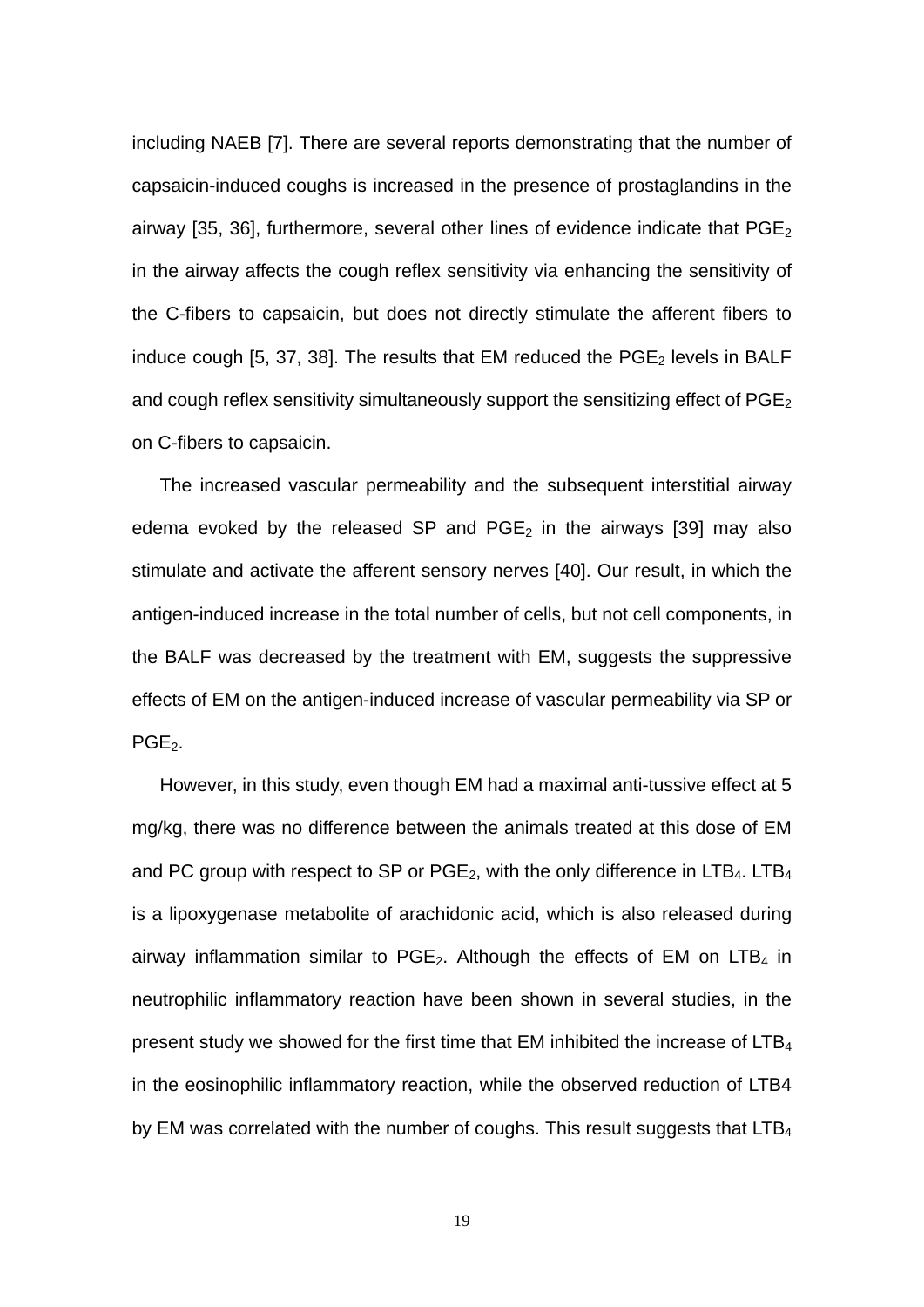including NAEB [7]. There are several reports demonstrating that the number of capsaicin-induced coughs is increased in the presence of prostaglandins in the airway [35, 36], furthermore, several other lines of evidence indicate that  $PGE_2$ in the airway affects the cough reflex sensitivity via enhancing the sensitivity of the C-fibers to capsaicin, but does not directly stimulate the afferent fibers to induce cough [5, 37, 38]. The results that EM reduced the  $PGE<sub>2</sub>$  levels in BALF and cough reflex sensitivity simultaneously support the sensitizing effect of  $PGE<sub>2</sub>$ on C-fibers to capsaicin.

The increased vascular permeability and the subsequent interstitial airway edema evoked by the released SP and  $PGE_2$  in the airways [39] may also stimulate and activate the afferent sensory nerves [40]. Our result, in which the antigen-induced increase in the total number of cells, but not cell components, in the BALF was decreased by the treatment with EM, suggests the suppressive effects of EM on the antigen-induced increase of vascular permeability via SP or PGE<sub>2</sub>.

However, in this study, even though EM had a maximal anti-tussive effect at 5 mg/kg, there was no difference between the animals treated at this dose of EM and PC group with respect to SP or PGE<sub>2</sub>, with the only difference in LTB<sub>4</sub>. LTB<sub>4</sub> is a lipoxygenase metabolite of arachidonic acid, which is also released during airway inflammation similar to  $PGE_2$ . Although the effects of EM on LTB<sub>4</sub> in neutrophilic inflammatory reaction have been shown in several studies, in the present study we showed for the first time that EM inhibited the increase of  $LTB<sub>4</sub>$ in the eosinophilic inflammatory reaction, while the observed reduction of LTB4 by EM was correlated with the number of coughs. This result suggests that LTB<sub>4</sub>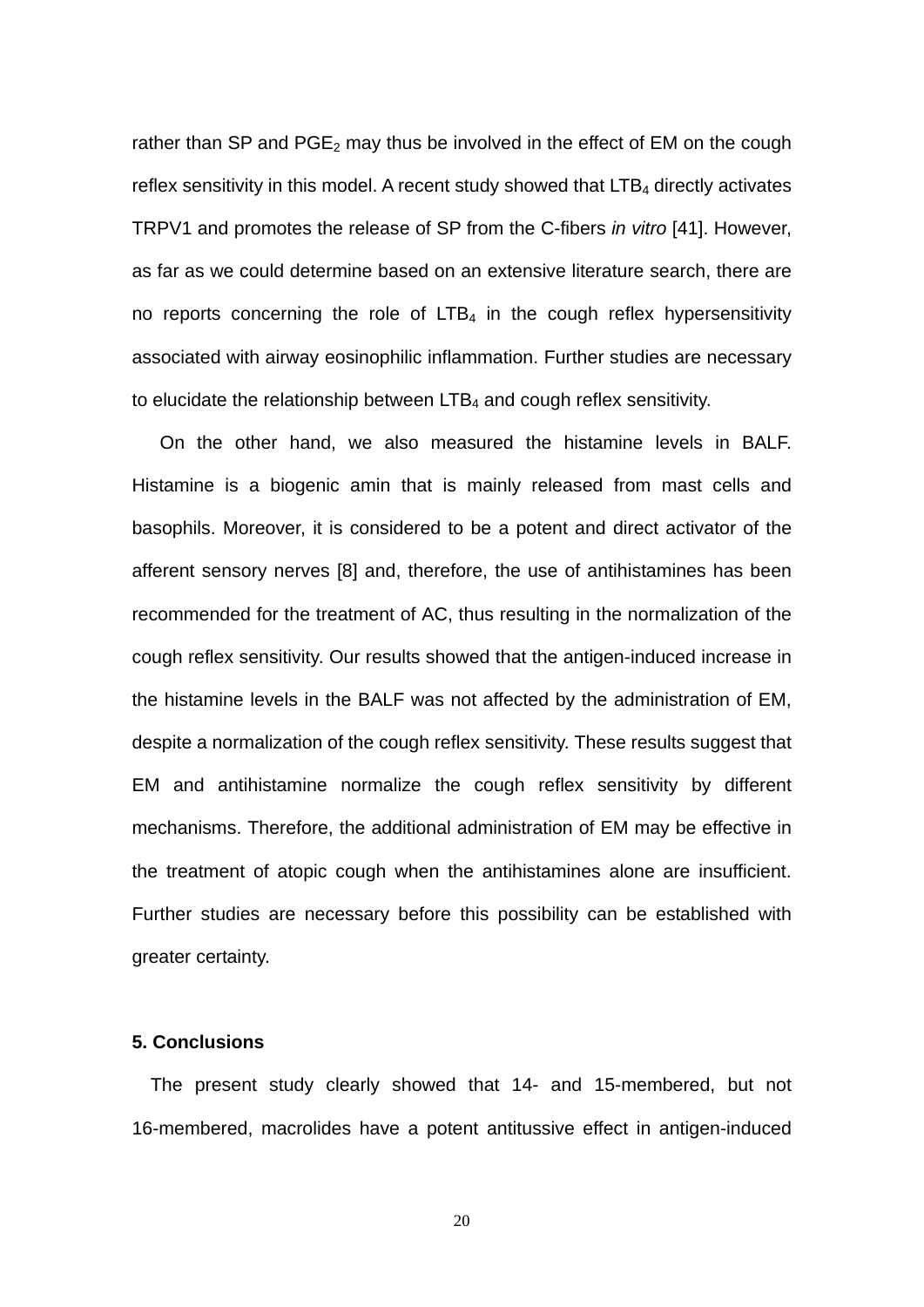rather than SP and  $PGE_2$  may thus be involved in the effect of EM on the cough reflex sensitivity in this model. A recent study showed that  $LTB<sub>4</sub>$  directly activates TRPV1 and promotes the release of SP from the C-fibers *in vitro* [41]. However, as far as we could determine based on an extensive literature search, there are no reports concerning the role of  $LTB<sub>4</sub>$  in the cough reflex hypersensitivity associated with airway eosinophilic inflammation. Further studies are necessary to elucidate the relationship between  $LTB<sub>4</sub>$  and cough reflex sensitivity.

On the other hand, we also measured the histamine levels in BALF. Histamine is a biogenic amin that is mainly released from mast cells and basophils. Moreover, it is considered to be a potent and direct activator of the afferent sensory nerves [8] and, therefore, the use of antihistamines has been recommended for the treatment of AC, thus resulting in the normalization of the cough reflex sensitivity. Our results showed that the antigen-induced increase in the histamine levels in the BALF was not affected by the administration of EM, despite a normalization of the cough reflex sensitivity. These results suggest that EM and antihistamine normalize the cough reflex sensitivity by different mechanisms. Therefore, the additional administration of EM may be effective in the treatment of atopic cough when the antihistamines alone are insufficient. Further studies are necessary before this possibility can be established with greater certainty.

#### **5. Conclusions**

The present study clearly showed that 14- and 15-membered, but not 16-membered, macrolides have a potent antitussive effect in antigen-induced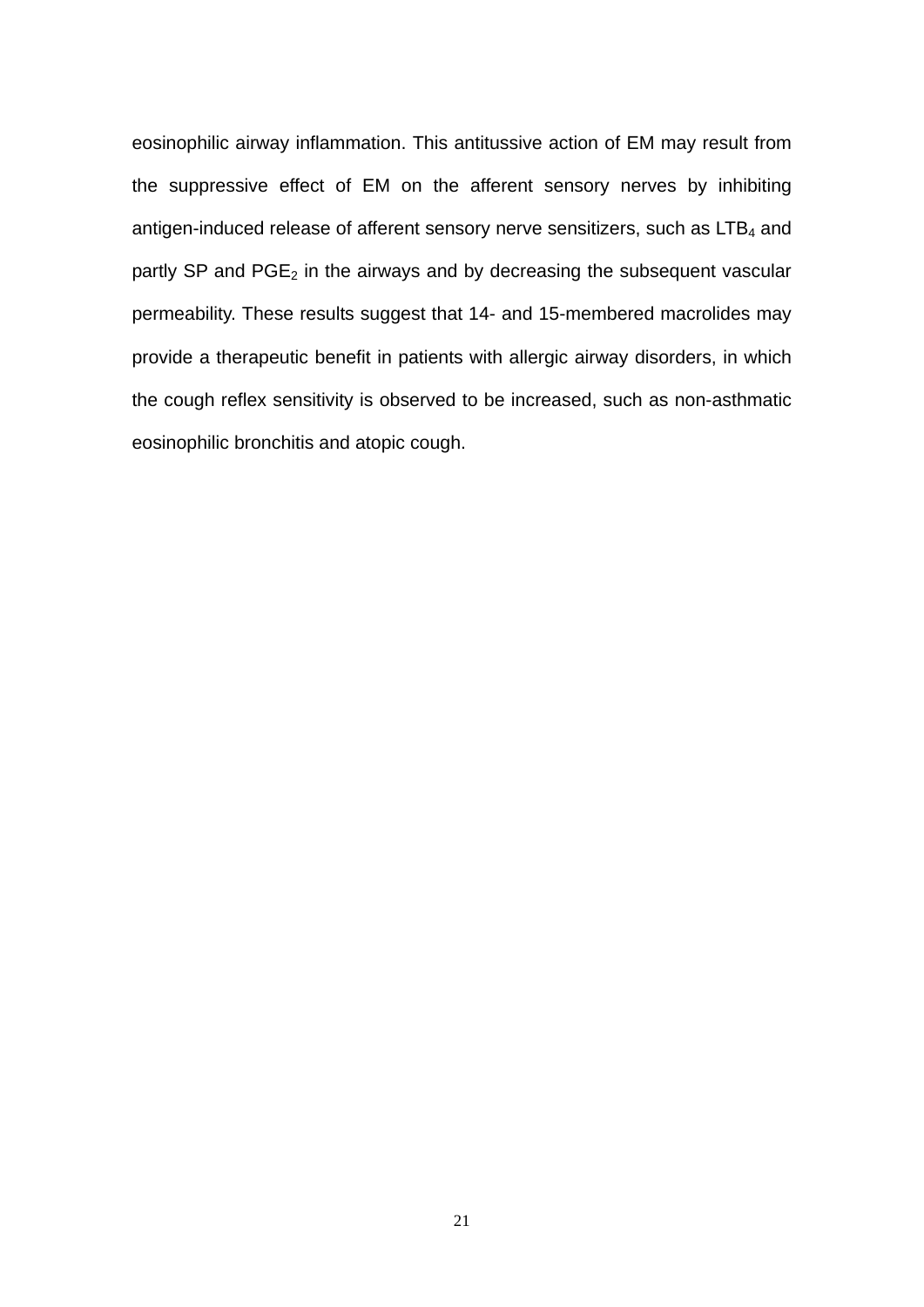eosinophilic airway inflammation. This antitussive action of EM may result from the suppressive effect of EM on the afferent sensory nerves by inhibiting antigen-induced release of afferent sensory nerve sensitizers, such as  $LTB<sub>4</sub>$  and partly SP and  $PGE_2$  in the airways and by decreasing the subsequent vascular permeability. These results suggest that 14- and 15-membered macrolides may provide a therapeutic benefit in patients with allergic airway disorders, in which the cough reflex sensitivity is observed to be increased, such as non-asthmatic eosinophilic bronchitis and atopic cough.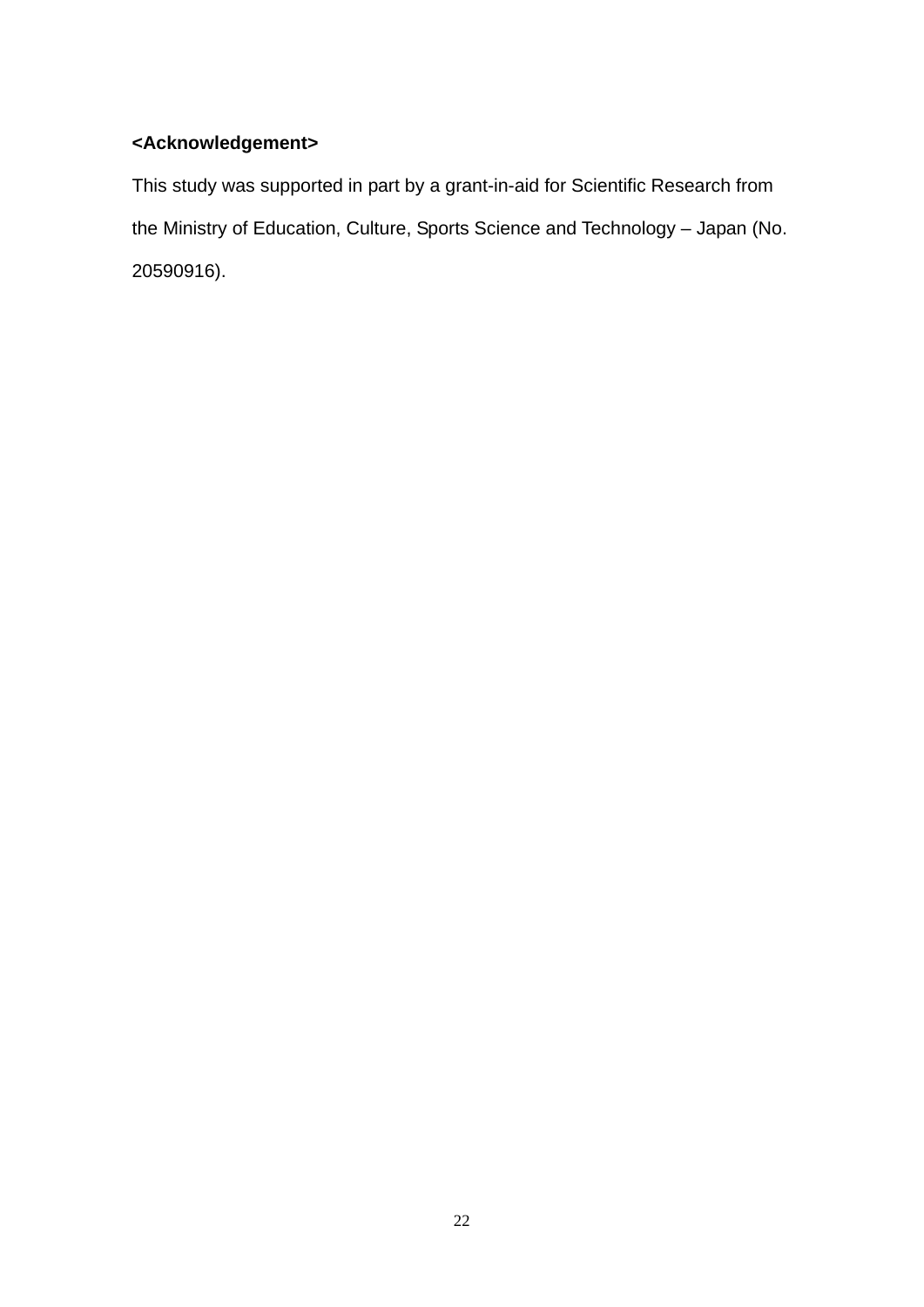## **<Acknowledgement>**

This study was supported in part by a grant-in-aid for Scientific Research from the Ministry of Education, Culture, Sports Science and Technology – Japan (No. 20590916).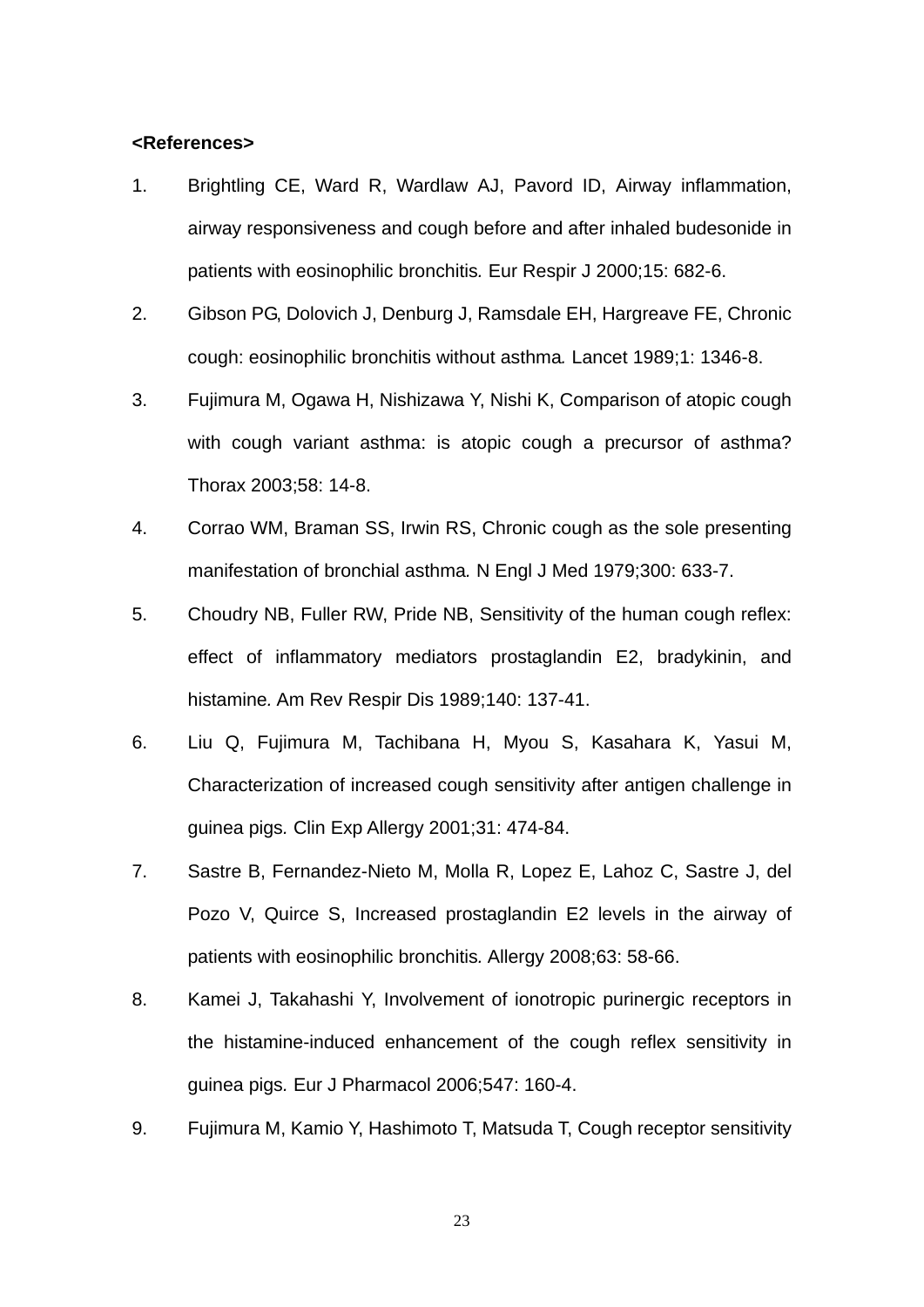#### **<References>**

- 1. Brightling CE, Ward R, Wardlaw AJ, Pavord ID, Airway inflammation, airway responsiveness and cough before and after inhaled budesonide in patients with eosinophilic bronchitis*.* Eur Respir J 2000;15: 682-6.
- 2. Gibson PG, Dolovich J, Denburg J, Ramsdale EH, Hargreave FE, Chronic cough: eosinophilic bronchitis without asthma*.* Lancet 1989;1: 1346-8.
- 3. Fujimura M, Ogawa H, Nishizawa Y, Nishi K, Comparison of atopic cough with cough variant asthma: is atopic cough a precursor of asthma? Thorax 2003;58: 14-8.
- 4. Corrao WM, Braman SS, Irwin RS, Chronic cough as the sole presenting manifestation of bronchial asthma*.* N Engl J Med 1979;300: 633-7.
- 5. Choudry NB, Fuller RW, Pride NB, Sensitivity of the human cough reflex: effect of inflammatory mediators prostaglandin E2, bradykinin, and histamine*.* Am Rev Respir Dis 1989;140: 137-41.
- 6. Liu Q, Fujimura M, Tachibana H, Myou S, Kasahara K, Yasui M, Characterization of increased cough sensitivity after antigen challenge in guinea pigs*.* Clin Exp Allergy 2001;31: 474-84.
- 7. Sastre B, Fernandez-Nieto M, Molla R, Lopez E, Lahoz C, Sastre J, del Pozo V, Quirce S, Increased prostaglandin E2 levels in the airway of patients with eosinophilic bronchitis*.* Allergy 2008;63: 58-66.
- 8. Kamei J, Takahashi Y, Involvement of ionotropic purinergic receptors in the histamine-induced enhancement of the cough reflex sensitivity in guinea pigs*.* Eur J Pharmacol 2006;547: 160-4.
- 9. Fujimura M, Kamio Y, Hashimoto T, Matsuda T, Cough receptor sensitivity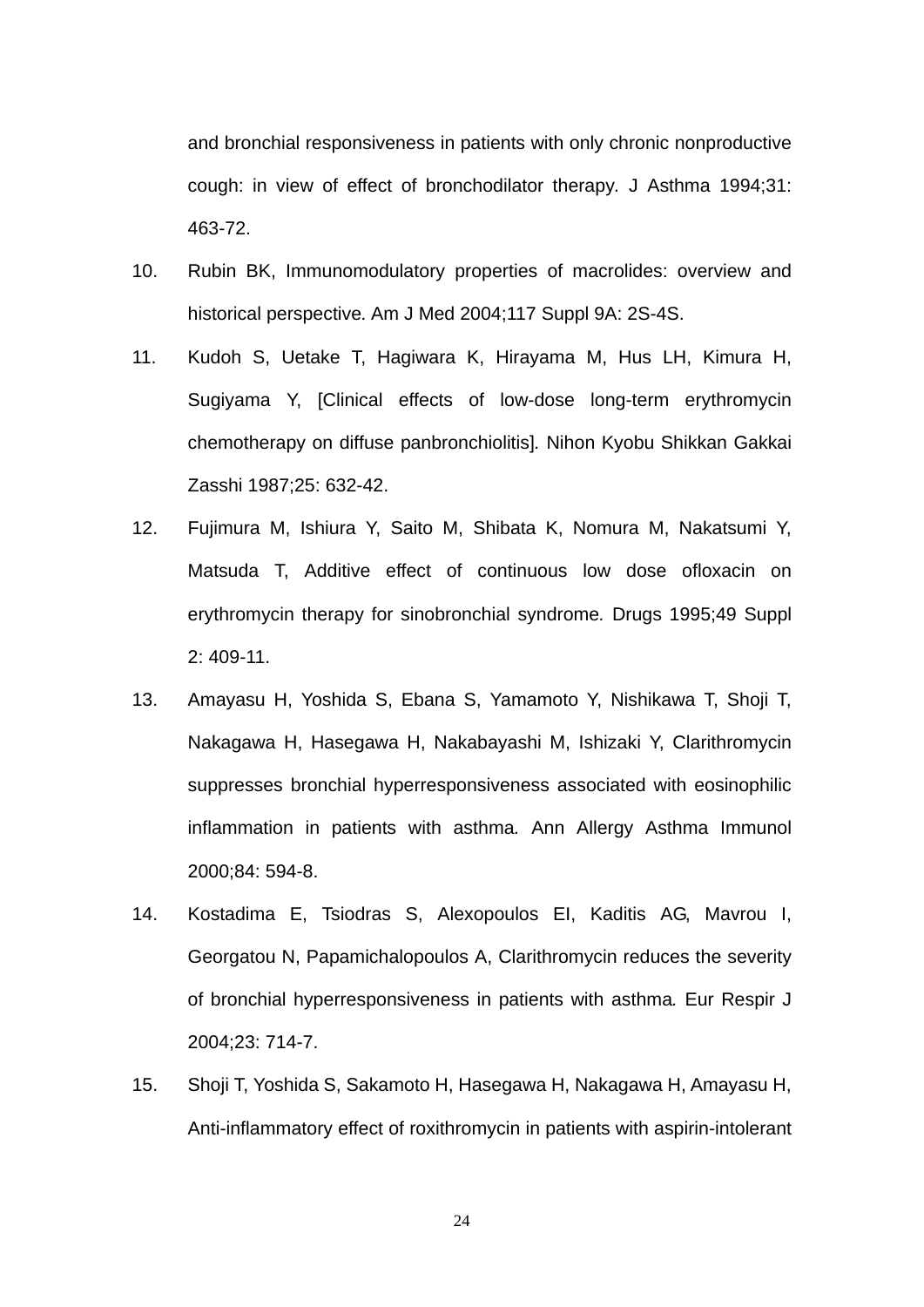and bronchial responsiveness in patients with only chronic nonproductive cough: in view of effect of bronchodilator therapy*.* J Asthma 1994;31: 463-72.

- 10. Rubin BK, Immunomodulatory properties of macrolides: overview and historical perspective*.* Am J Med 2004;117 Suppl 9A: 2S-4S.
- 11. Kudoh S, Uetake T, Hagiwara K, Hirayama M, Hus LH, Kimura H, Sugiyama Y, [Clinical effects of low-dose long-term erythromycin chemotherapy on diffuse panbronchiolitis]*.* Nihon Kyobu Shikkan Gakkai Zasshi 1987;25: 632-42.
- 12. Fujimura M, Ishiura Y, Saito M, Shibata K, Nomura M, Nakatsumi Y, Matsuda T, Additive effect of continuous low dose ofloxacin on erythromycin therapy for sinobronchial syndrome*.* Drugs 1995;49 Suppl 2: 409-11.
- 13. Amayasu H, Yoshida S, Ebana S, Yamamoto Y, Nishikawa T, Shoji T, Nakagawa H, Hasegawa H, Nakabayashi M, Ishizaki Y, Clarithromycin suppresses bronchial hyperresponsiveness associated with eosinophilic inflammation in patients with asthma*.* Ann Allergy Asthma Immunol 2000;84: 594-8.
- 14. Kostadima E, Tsiodras S, Alexopoulos EI, Kaditis AG, Mavrou I, Georgatou N, Papamichalopoulos A, Clarithromycin reduces the severity of bronchial hyperresponsiveness in patients with asthma*.* Eur Respir J 2004;23: 714-7.
- 15. Shoji T, Yoshida S, Sakamoto H, Hasegawa H, Nakagawa H, Amayasu H, Anti-inflammatory effect of roxithromycin in patients with aspirin-intolerant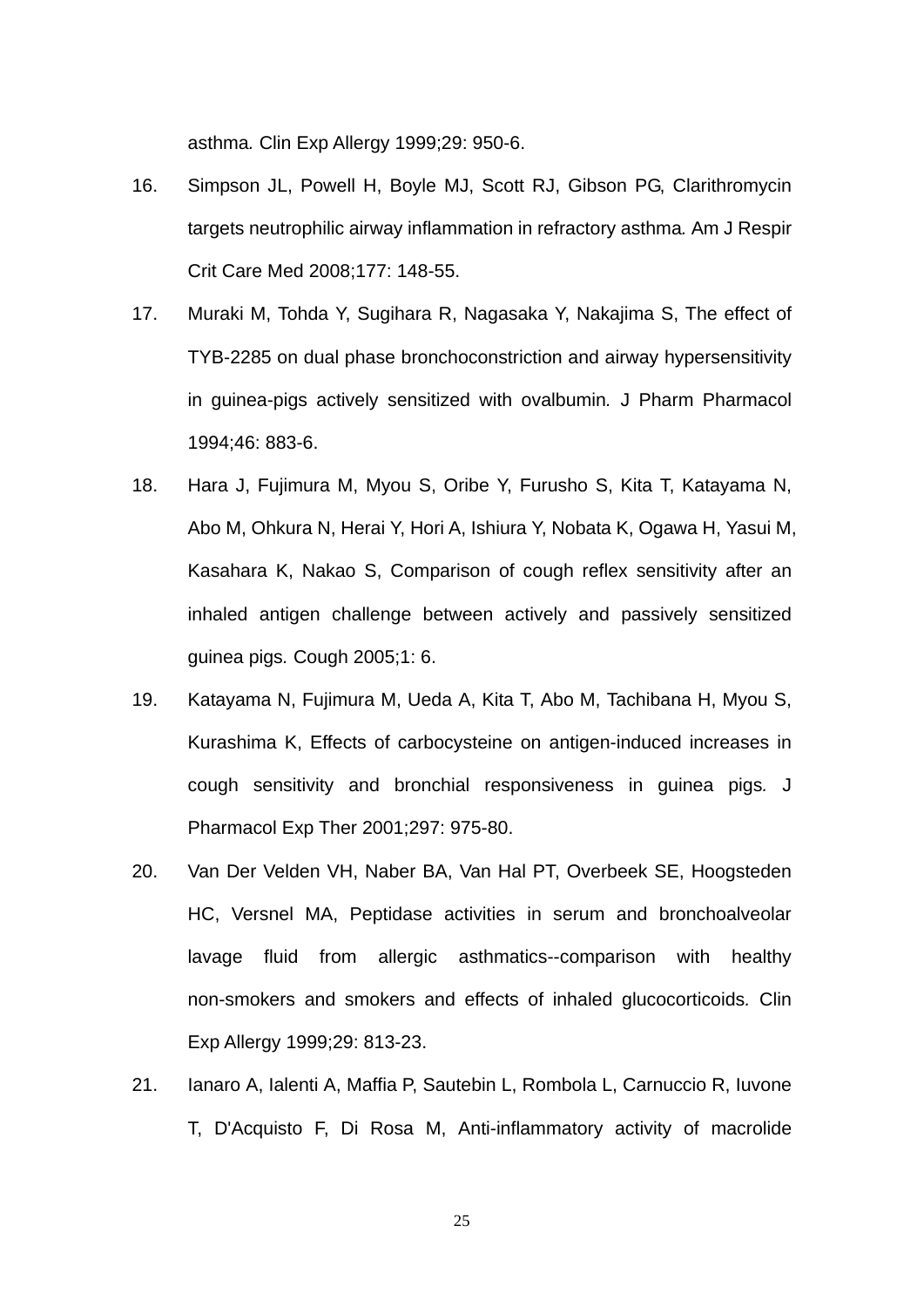asthma*.* Clin Exp Allergy 1999;29: 950-6.

- 16. Simpson JL, Powell H, Boyle MJ, Scott RJ, Gibson PG, Clarithromycin targets neutrophilic airway inflammation in refractory asthma*.* Am J Respir Crit Care Med 2008;177: 148-55.
- 17. Muraki M, Tohda Y, Sugihara R, Nagasaka Y, Nakajima S, The effect of TYB-2285 on dual phase bronchoconstriction and airway hypersensitivity in guinea-pigs actively sensitized with ovalbumin*.* J Pharm Pharmacol 1994;46: 883-6.
- 18. Hara J, Fujimura M, Myou S, Oribe Y, Furusho S, Kita T, Katayama N, Abo M, Ohkura N, Herai Y, Hori A, Ishiura Y, Nobata K, Ogawa H, Yasui M, Kasahara K, Nakao S, Comparison of cough reflex sensitivity after an inhaled antigen challenge between actively and passively sensitized guinea pigs*.* Cough 2005;1: 6.
- 19. Katayama N, Fujimura M, Ueda A, Kita T, Abo M, Tachibana H, Myou S, Kurashima K, Effects of carbocysteine on antigen-induced increases in cough sensitivity and bronchial responsiveness in guinea pigs*.* J Pharmacol Exp Ther 2001;297: 975-80.
- 20. Van Der Velden VH, Naber BA, Van Hal PT, Overbeek SE, Hoogsteden HC, Versnel MA, Peptidase activities in serum and bronchoalveolar lavage fluid from allergic asthmatics--comparison with healthy non-smokers and smokers and effects of inhaled glucocorticoids*.* Clin Exp Allergy 1999;29: 813-23.
- 21. Ianaro A, Ialenti A, Maffia P, Sautebin L, Rombola L, Carnuccio R, Iuvone T, D'Acquisto F, Di Rosa M, Anti-inflammatory activity of macrolide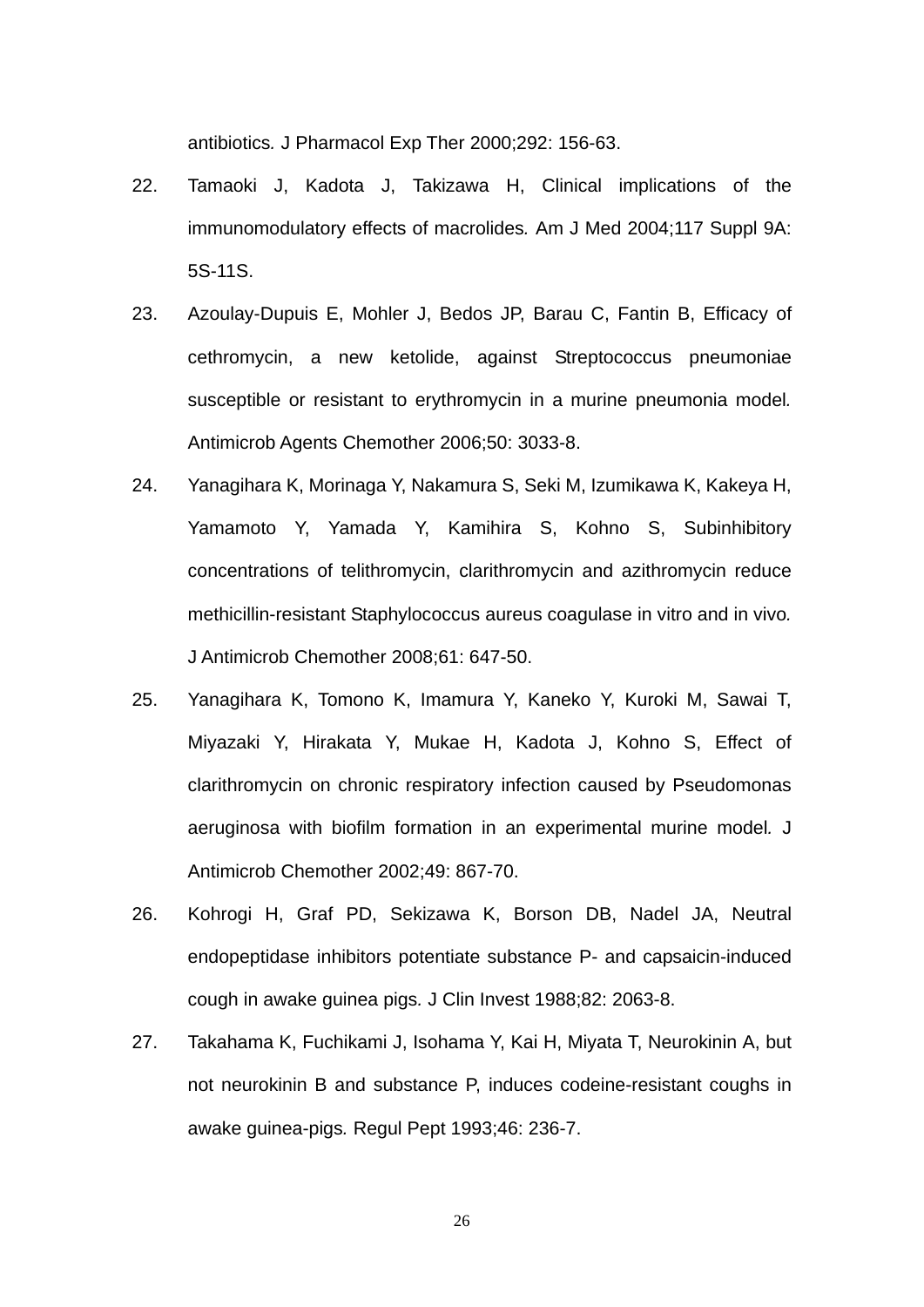antibiotics*.* J Pharmacol Exp Ther 2000;292: 156-63.

- 22. Tamaoki J, Kadota J, Takizawa H, Clinical implications of the immunomodulatory effects of macrolides*.* Am J Med 2004;117 Suppl 9A: 5S-11S.
- 23. Azoulay-Dupuis E, Mohler J, Bedos JP, Barau C, Fantin B, Efficacy of cethromycin, a new ketolide, against Streptococcus pneumoniae susceptible or resistant to erythromycin in a murine pneumonia model*.* Antimicrob Agents Chemother 2006;50: 3033-8.
- 24. Yanagihara K, Morinaga Y, Nakamura S, Seki M, Izumikawa K, Kakeya H, Yamamoto Y, Yamada Y, Kamihira S, Kohno S, Subinhibitory concentrations of telithromycin, clarithromycin and azithromycin reduce methicillin-resistant Staphylococcus aureus coagulase in vitro and in vivo*.* J Antimicrob Chemother 2008;61: 647-50.
- 25. Yanagihara K, Tomono K, Imamura Y, Kaneko Y, Kuroki M, Sawai T, Miyazaki Y, Hirakata Y, Mukae H, Kadota J, Kohno S, Effect of clarithromycin on chronic respiratory infection caused by Pseudomonas aeruginosa with biofilm formation in an experimental murine model*.* J Antimicrob Chemother 2002;49: 867-70.
- 26. Kohrogi H, Graf PD, Sekizawa K, Borson DB, Nadel JA, Neutral endopeptidase inhibitors potentiate substance P- and capsaicin-induced cough in awake guinea pigs*.* J Clin Invest 1988;82: 2063-8.
- 27. Takahama K, Fuchikami J, Isohama Y, Kai H, Miyata T, Neurokinin A, but not neurokinin B and substance P, induces codeine-resistant coughs in awake guinea-pigs*.* Regul Pept 1993;46: 236-7.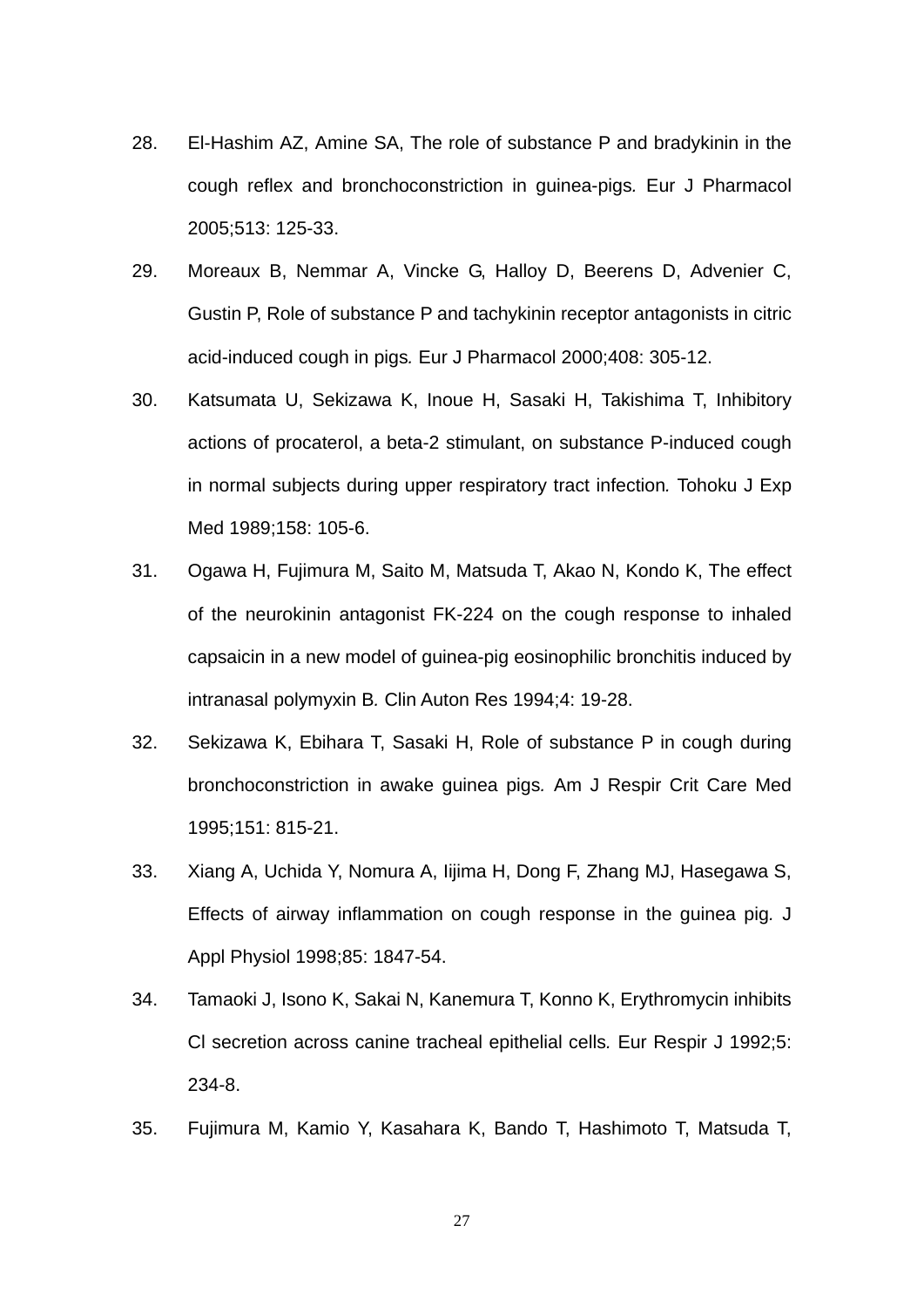- 28. El-Hashim AZ, Amine SA, The role of substance P and bradykinin in the cough reflex and bronchoconstriction in guinea-pigs*.* Eur J Pharmacol 2005;513: 125-33.
- 29. Moreaux B, Nemmar A, Vincke G, Halloy D, Beerens D, Advenier C, Gustin P, Role of substance P and tachykinin receptor antagonists in citric acid-induced cough in pigs*.* Eur J Pharmacol 2000;408: 305-12.
- 30. Katsumata U, Sekizawa K, Inoue H, Sasaki H, Takishima T, Inhibitory actions of procaterol, a beta-2 stimulant, on substance P-induced cough in normal subjects during upper respiratory tract infection*.* Tohoku J Exp Med 1989;158: 105-6.
- 31. Ogawa H, Fujimura M, Saito M, Matsuda T, Akao N, Kondo K, The effect of the neurokinin antagonist FK-224 on the cough response to inhaled capsaicin in a new model of guinea-pig eosinophilic bronchitis induced by intranasal polymyxin B*.* Clin Auton Res 1994;4: 19-28.
- 32. Sekizawa K, Ebihara T, Sasaki H, Role of substance P in cough during bronchoconstriction in awake guinea pigs*.* Am J Respir Crit Care Med 1995;151: 815-21.
- 33. Xiang A, Uchida Y, Nomura A, Iijima H, Dong F, Zhang MJ, Hasegawa S, Effects of airway inflammation on cough response in the guinea pig*.* J Appl Physiol 1998;85: 1847-54.
- 34. Tamaoki J, Isono K, Sakai N, Kanemura T, Konno K, Erythromycin inhibits Cl secretion across canine tracheal epithelial cells*.* Eur Respir J 1992;5: 234-8.
- 35. Fujimura M, Kamio Y, Kasahara K, Bando T, Hashimoto T, Matsuda T,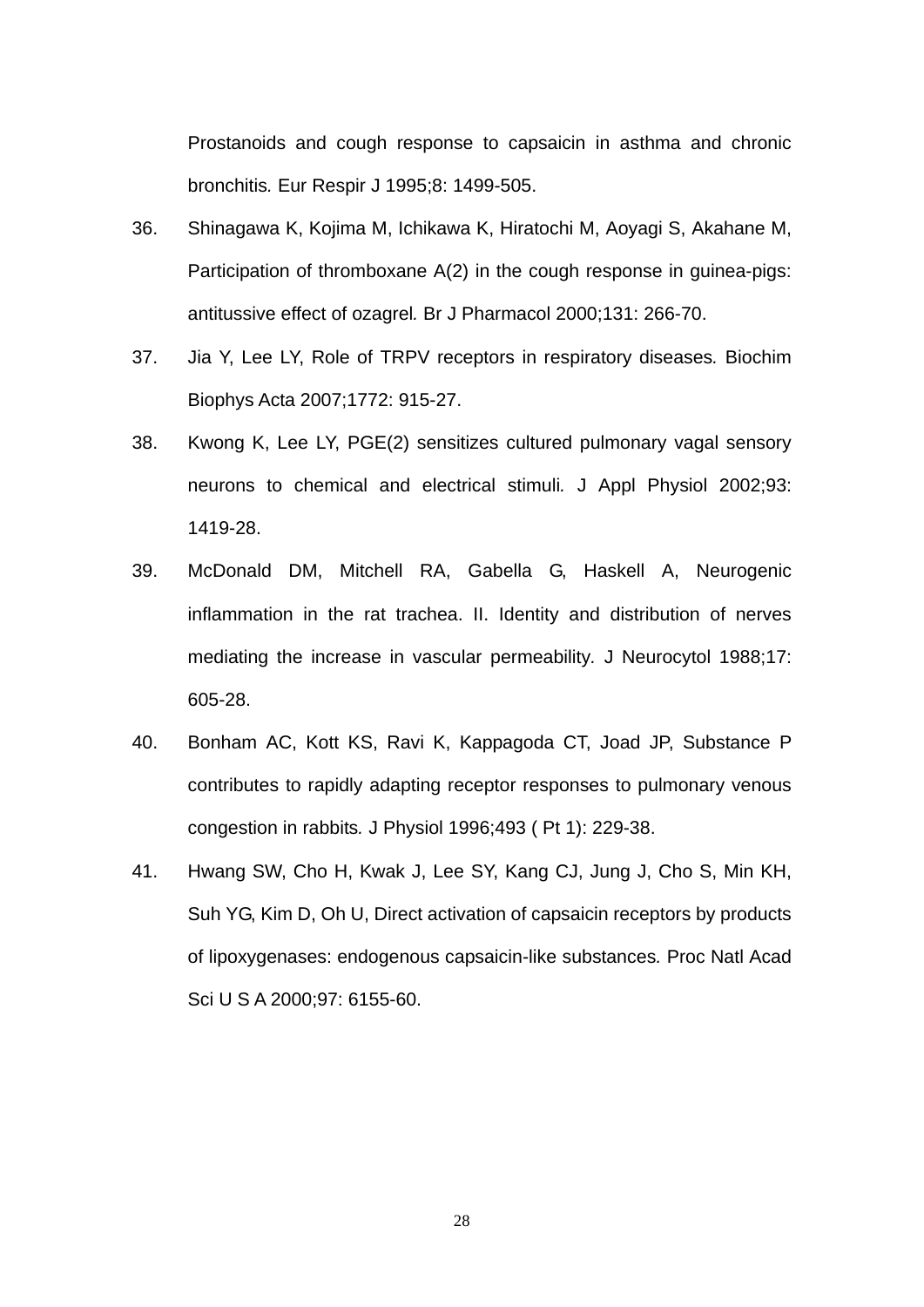Prostanoids and cough response to capsaicin in asthma and chronic bronchitis*.* Eur Respir J 1995;8: 1499-505.

- 36. Shinagawa K, Kojima M, Ichikawa K, Hiratochi M, Aoyagi S, Akahane M, Participation of thromboxane A(2) in the cough response in guinea-pigs: antitussive effect of ozagrel*.* Br J Pharmacol 2000;131: 266-70.
- 37. Jia Y, Lee LY, Role of TRPV receptors in respiratory diseases*.* Biochim Biophys Acta 2007;1772: 915-27.
- 38. Kwong K, Lee LY, PGE(2) sensitizes cultured pulmonary vagal sensory neurons to chemical and electrical stimuli*.* J Appl Physiol 2002;93: 1419-28.
- 39. McDonald DM, Mitchell RA, Gabella G, Haskell A, Neurogenic inflammation in the rat trachea. II. Identity and distribution of nerves mediating the increase in vascular permeability*.* J Neurocytol 1988;17: 605-28.
- 40. Bonham AC, Kott KS, Ravi K, Kappagoda CT, Joad JP, Substance P contributes to rapidly adapting receptor responses to pulmonary venous congestion in rabbits*.* J Physiol 1996;493 ( Pt 1): 229-38.
- 41. Hwang SW, Cho H, Kwak J, Lee SY, Kang CJ, Jung J, Cho S, Min KH, Suh YG, Kim D, Oh U, Direct activation of capsaicin receptors by products of lipoxygenases: endogenous capsaicin-like substances*.* Proc Natl Acad Sci U S A 2000;97: 6155-60.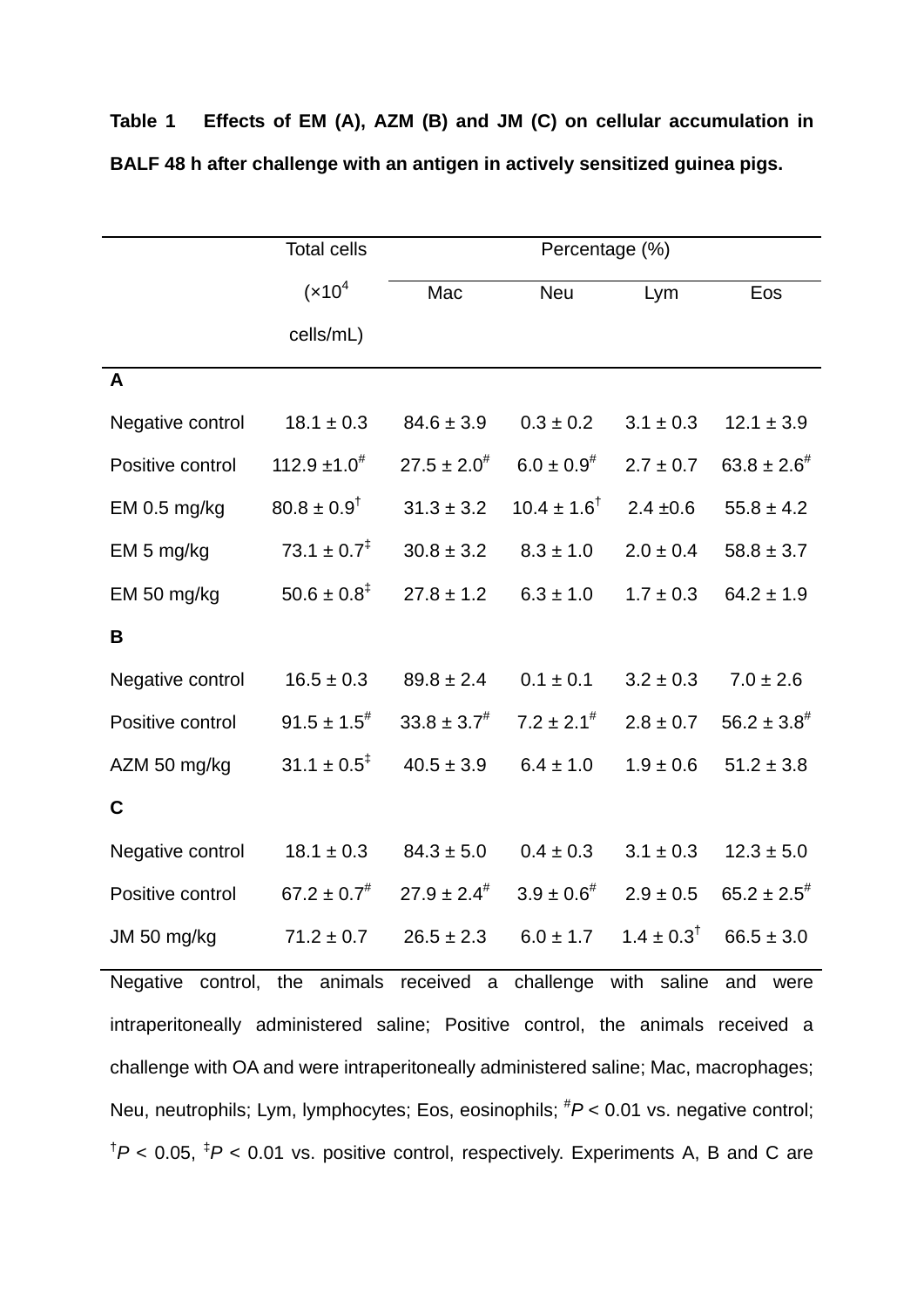|                                                                                                            | <b>Total cells</b>          | Percentage (%)      |                                                                     |               |                     |  |
|------------------------------------------------------------------------------------------------------------|-----------------------------|---------------------|---------------------------------------------------------------------|---------------|---------------------|--|
|                                                                                                            | $(x10^4)$                   | Mac                 | <b>Neu</b>                                                          | Lym           | Eos                 |  |
|                                                                                                            | cells/mL)                   |                     |                                                                     |               |                     |  |
| $\overline{A}$                                                                                             |                             |                     |                                                                     |               |                     |  |
| Negative control                                                                                           | $18.1 \pm 0.3$              | $84.6 \pm 3.9$      | $0.3 \pm 0.2$                                                       | $3.1 \pm 0.3$ | $12.1 \pm 3.9$      |  |
| Positive control                                                                                           | $112.9 \pm 1.0^{\#}$        | $27.5 \pm 2.0^{\#}$ | $6.0 \pm 0.9^{*}$                                                   | $2.7 \pm 0.7$ | $63.8 \pm 2.6^{\#}$ |  |
| EM 0.5 mg/kg                                                                                               | $80.8 \pm 0.9$ <sup>†</sup> | $31.3 \pm 3.2$      | $10.4 \pm 1.6^{\dagger}$                                            | $2.4 \pm 0.6$ | $55.8 \pm 4.2$      |  |
| EM 5 mg/kg                                                                                                 | $73.1 \pm 0.7^{\ddagger}$   | $30.8 \pm 3.2$      | $8.3 \pm 1.0$                                                       | $2.0 \pm 0.4$ | $58.8 \pm 3.7$      |  |
| EM 50 mg/kg                                                                                                | $50.6 \pm 0.8^{\ddagger}$   | $27.8 \pm 1.2$      | $6.3 \pm 1.0$                                                       | $1.7 \pm 0.3$ | $64.2 \pm 1.9$      |  |
| B                                                                                                          |                             |                     |                                                                     |               |                     |  |
| Negative control                                                                                           | $16.5 \pm 0.3$              | $89.8 \pm 2.4$      | $0.1 \pm 0.1$                                                       | $3.2 \pm 0.3$ | $7.0 \pm 2.6$       |  |
| Positive control                                                                                           | $91.5 \pm 1.5^{\#}$         | $33.8 \pm 3.7^{\#}$ | $7.2 \pm 2.1^{\#}$                                                  | $2.8 \pm 0.7$ | $56.2 \pm 3.8^{\#}$ |  |
| AZM 50 mg/kg                                                                                               | $31.1 \pm 0.5^{\ddagger}$   | $40.5 \pm 3.9$      | $6.4 \pm 1.0$                                                       | $1.9 \pm 0.6$ | $51.2 \pm 3.8$      |  |
| $\mathbf c$                                                                                                |                             |                     |                                                                     |               |                     |  |
| Negative control                                                                                           | $18.1 \pm 0.3$              | $84.3 \pm 5.0$      | $0.4 \pm 0.3$                                                       | $3.1 \pm 0.3$ | $12.3 \pm 5.0$      |  |
| Positive control                                                                                           | $67.2 \pm 0.7^{\#}$         | $27.9 \pm 2.4^{\#}$ | $3.9 \pm 0.6^{\#}$                                                  | $2.9 \pm 0.5$ | $65.2 \pm 2.5^{\#}$ |  |
| JM 50 mg/kg                                                                                                | $71.2 \pm 0.7$              |                     | $26.5 \pm 2.3$ $6.0 \pm 1.7$ $1.4 \pm 0.3^{\dagger}$ $66.5 \pm 3.0$ |               |                     |  |
| Negative control, the animals received a challenge with saline and were                                    |                             |                     |                                                                     |               |                     |  |
| intraperitoneally administered saline; Positive control, the animals received a                            |                             |                     |                                                                     |               |                     |  |
| challenge with OA and were intraperitoneally administered saline; Mac, macrophages;                        |                             |                     |                                                                     |               |                     |  |
| Neu, neutrophils; Lym, lymphocytes; Eos, eosinophils; ${}^{#}P$ < 0.01 vs. negative control;               |                             |                     |                                                                     |               |                     |  |
| $^{\dagger}P$ < 0.05, $^{\ddagger}P$ < 0.01 vs. positive control, respectively. Experiments A, B and C are |                             |                     |                                                                     |               |                     |  |

**Table 1 Effects of EM (A), AZM (B) and JM (C) on cellular accumulation in BALF 48 h after challenge with an antigen in actively sensitized guinea pigs.**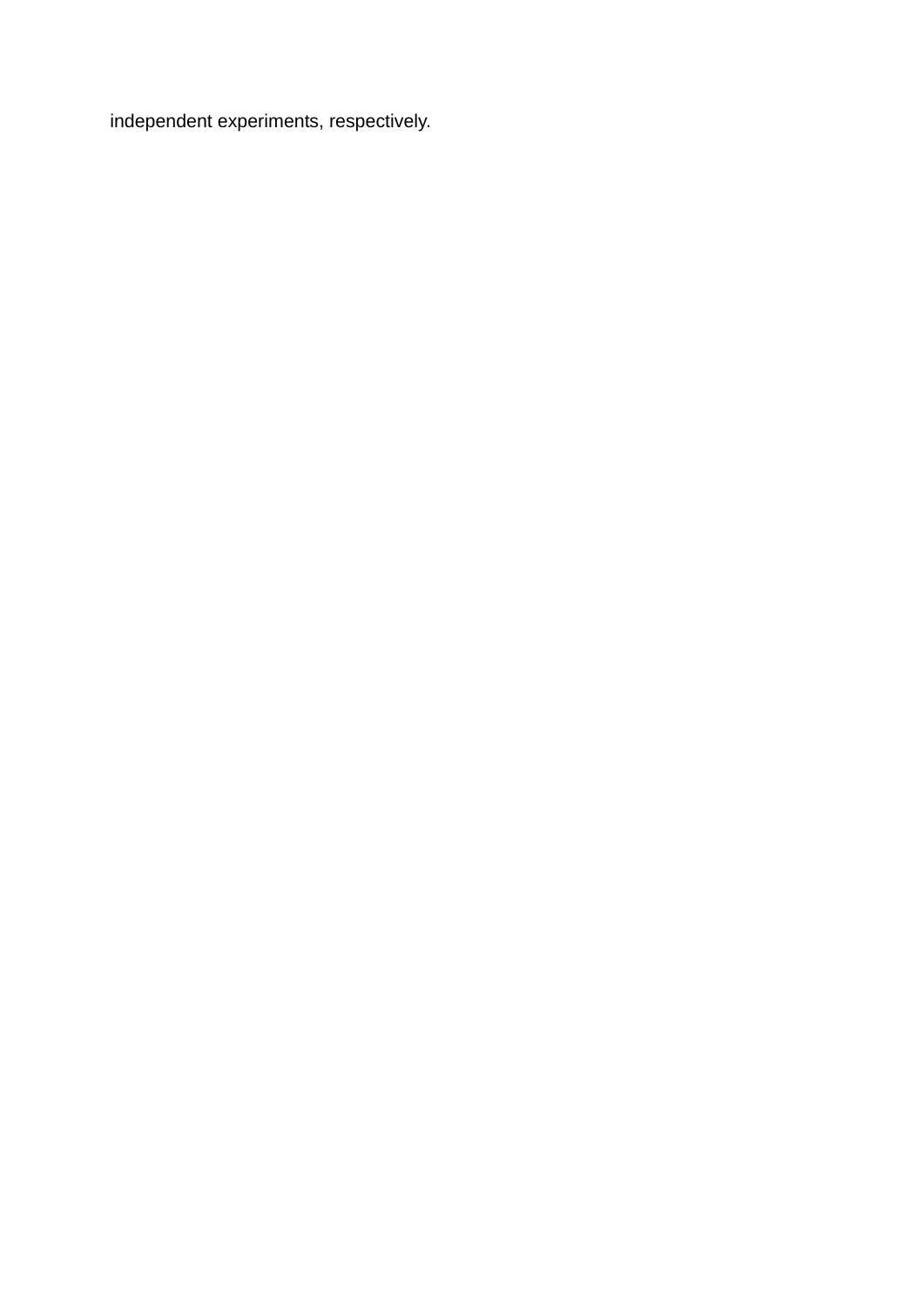independent experiments, respectively.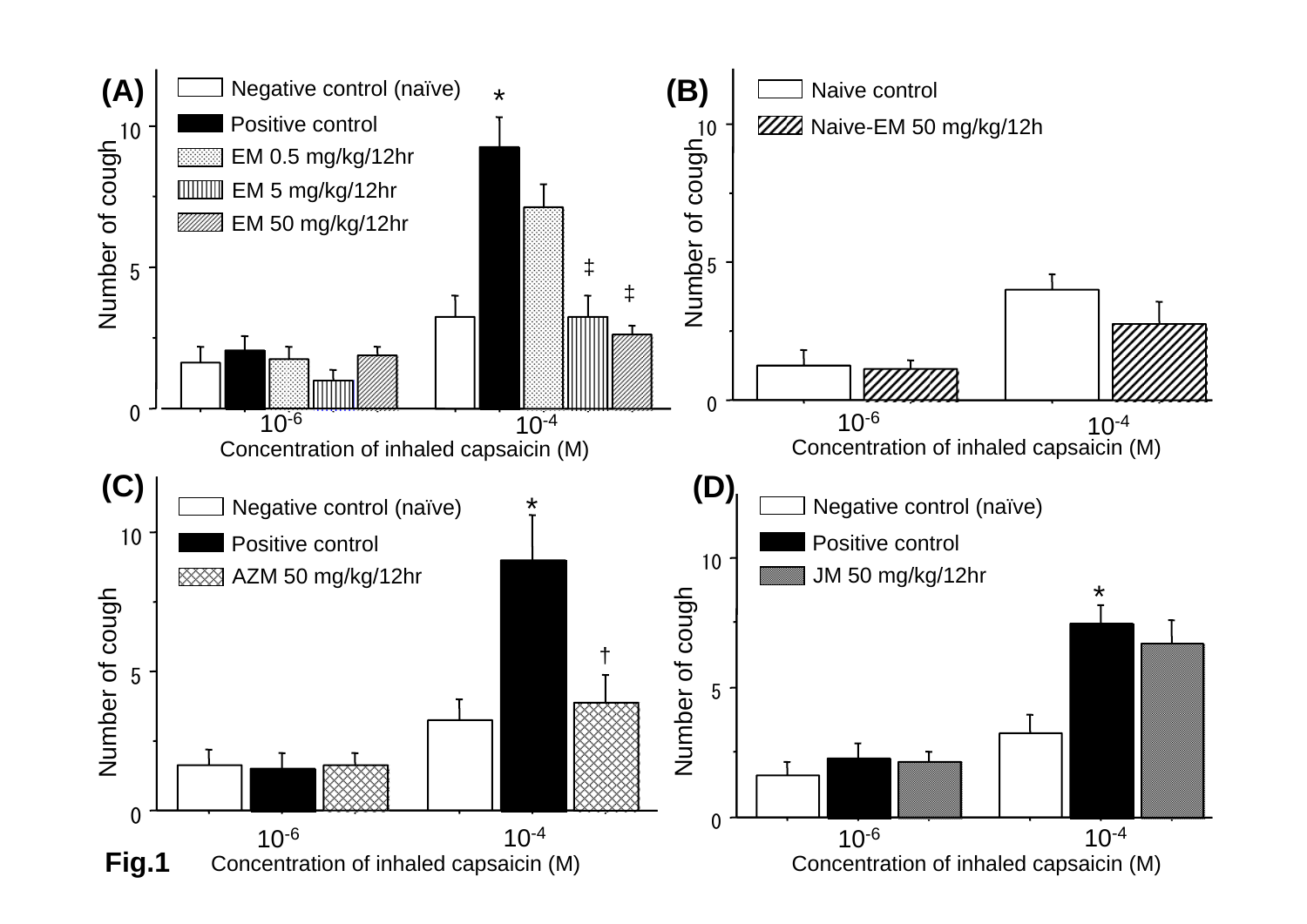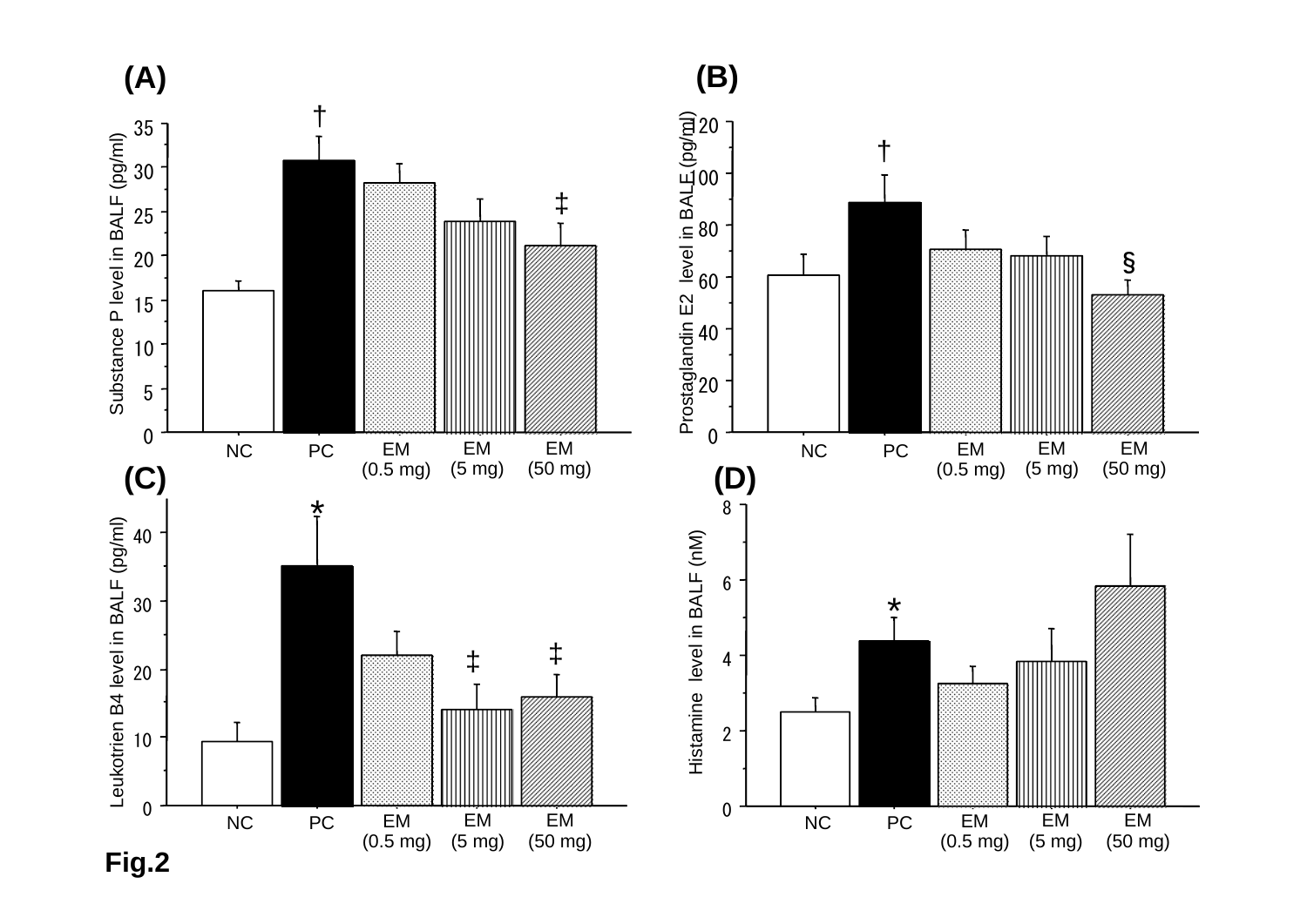

**Fig.2**